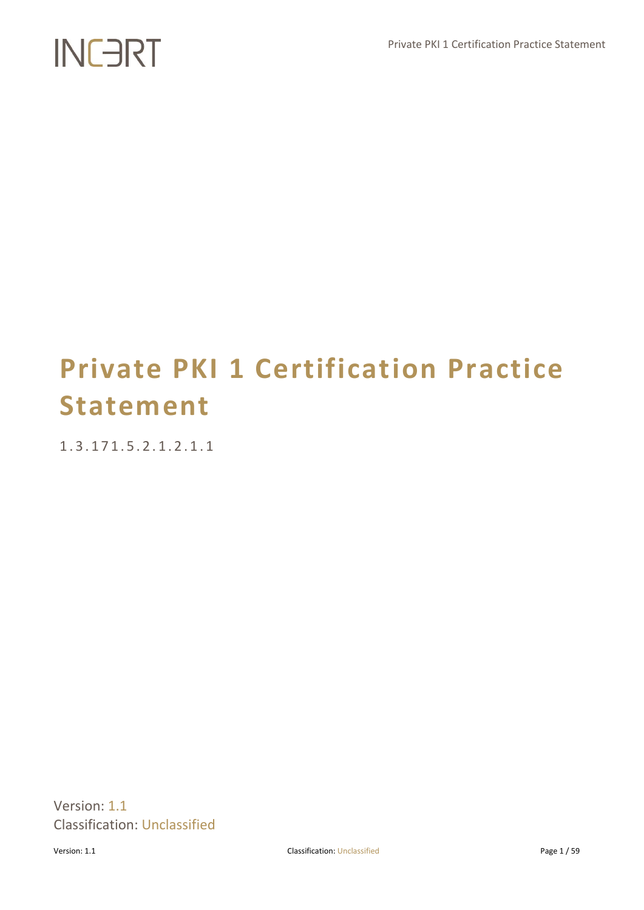# **Private PKI 1 Certification Practice Statement**

1 . 3 . 1 7 1 . 5 . 2 . 1 . 2 . 1 . 1

Version: 1.1 Classification: Unclassified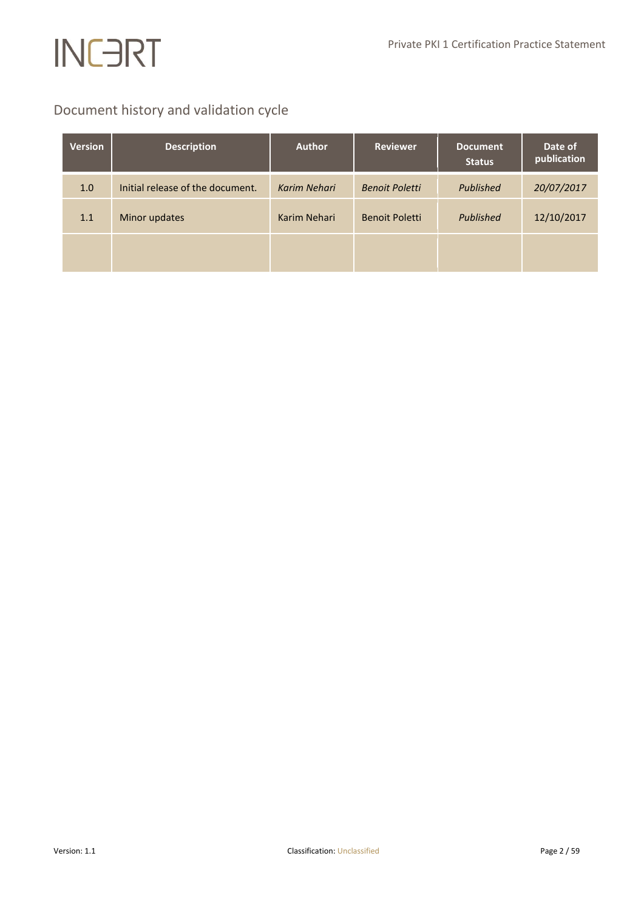# Document history and validation cycle

| <b>Version</b> | <b>Description</b>               | <b>Author</b> | <b>Reviewer</b>       | <b>Document</b><br><b>Status</b> | Date of<br>publication |
|----------------|----------------------------------|---------------|-----------------------|----------------------------------|------------------------|
| 1.0            | Initial release of the document. | Karim Nehari  | <b>Benoit Poletti</b> | Published                        | 20/07/2017             |
| 1.1            | Minor updates                    | Karim Nehari  | <b>Benoit Poletti</b> | Published                        | 12/10/2017             |
|                |                                  |               |                       |                                  |                        |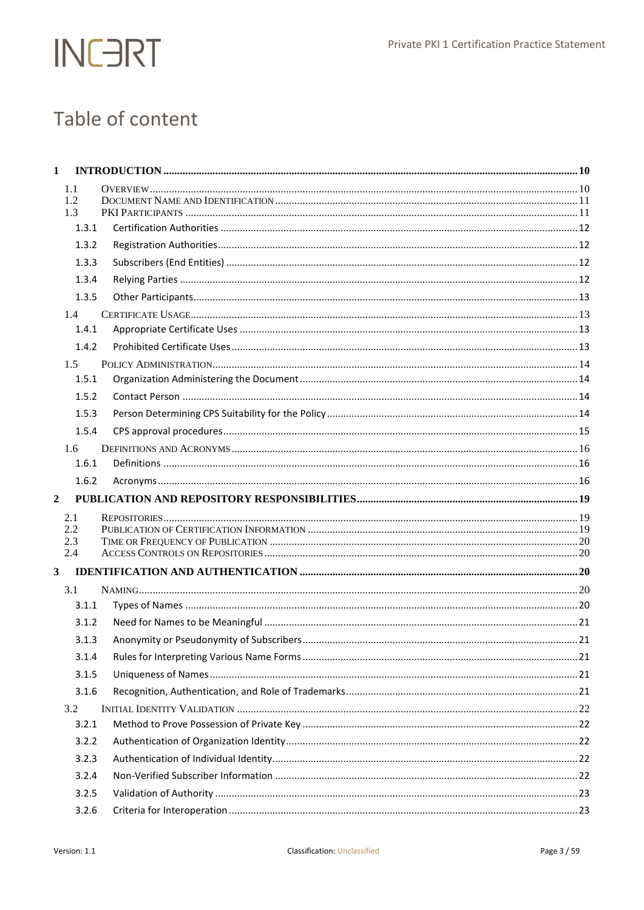

# Table of content

| $\mathbf{1}$            |                   |  |
|-------------------------|-------------------|--|
|                         | 1.1<br>1.2<br>1.3 |  |
|                         | 1.3.1             |  |
|                         | 1.3.2             |  |
|                         | 1.3.3             |  |
|                         | 1.3.4             |  |
|                         | 1.3.5             |  |
|                         | 1.4               |  |
|                         | 1.4.1             |  |
|                         | 1.4.2             |  |
|                         | 1.5               |  |
|                         | 1.5.1             |  |
|                         | 1.5.2             |  |
|                         | 1.5.3             |  |
|                         | 1.5.4             |  |
|                         | $1.6^{\circ}$     |  |
|                         | 1.6.1             |  |
|                         | 1.6.2             |  |
| $\overline{2}$          |                   |  |
|                         | 2.1               |  |
|                         | 2.2               |  |
|                         | 2.3<br>2.4        |  |
| $\overline{\mathbf{3}}$ |                   |  |
|                         | 3.1               |  |
|                         | 3.1.1             |  |
|                         | 3.1.2             |  |
|                         | 3.1.3             |  |
|                         | 3.1.4             |  |
|                         | 3.1.5             |  |
|                         | 3.1.6             |  |
|                         | 3.2               |  |
|                         | 3.2.1             |  |
|                         | 3.2.2             |  |
|                         | 3.2.3             |  |
|                         | 3.2.4             |  |
|                         | 3.2.5             |  |
|                         |                   |  |
|                         | 3.2.6             |  |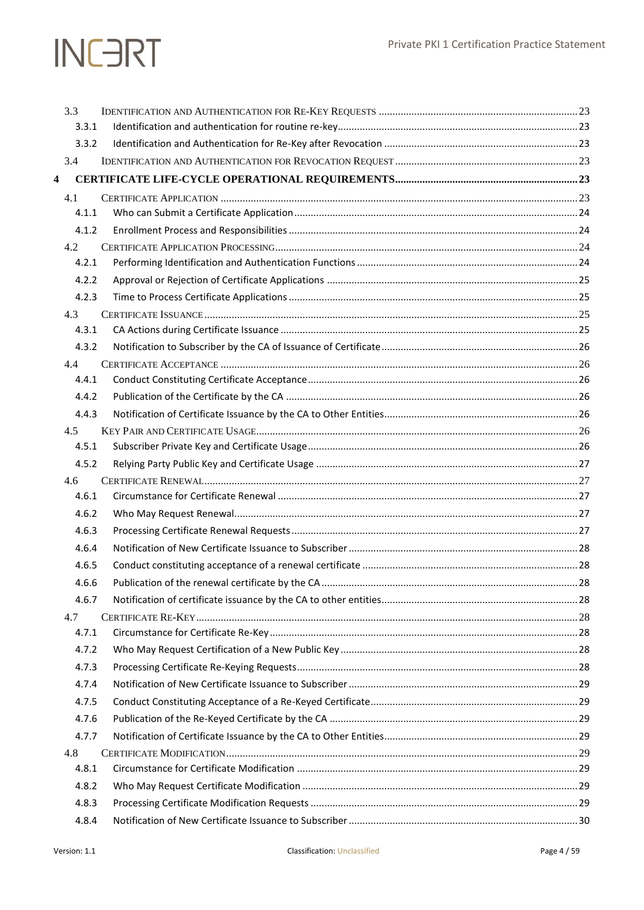## Private PKI 1 Certification Practice Statement

|   | 3.3          |  |
|---|--------------|--|
|   | 3.3.1        |  |
|   | 3.3.2        |  |
|   | 3.4          |  |
| 4 |              |  |
|   | 4.1          |  |
|   | 4.1.1        |  |
|   | 4.1.2        |  |
|   | 4.2          |  |
|   | 4.2.1        |  |
|   | 4.2.2        |  |
|   | 4.2.3        |  |
|   | 4.3          |  |
|   | 4.3.1        |  |
|   | 4.3.2        |  |
|   | 4.4          |  |
|   | 4.4.1        |  |
|   | 4.4.2        |  |
|   | 4.4.3        |  |
|   | 4.5          |  |
|   | 4.5.1        |  |
|   | 4.5.2        |  |
|   | 4.6<br>4.6.1 |  |
|   | 4.6.2        |  |
|   | 4.6.3        |  |
|   | 4.6.4        |  |
|   | 4.6.5        |  |
|   | 4.6.6        |  |
|   |              |  |
|   | 4.6.7<br>4.7 |  |
|   | 4.7.1        |  |
|   | 4.7.2        |  |
|   | 4.7.3        |  |
|   | 4.7.4        |  |
|   | 4.7.5        |  |
|   | 4.7.6        |  |
|   | 4.7.7        |  |
|   | 4.8          |  |
|   | 4.8.1        |  |
|   | 4.8.2        |  |
|   | 4.8.3        |  |
|   | 4.8.4        |  |
|   |              |  |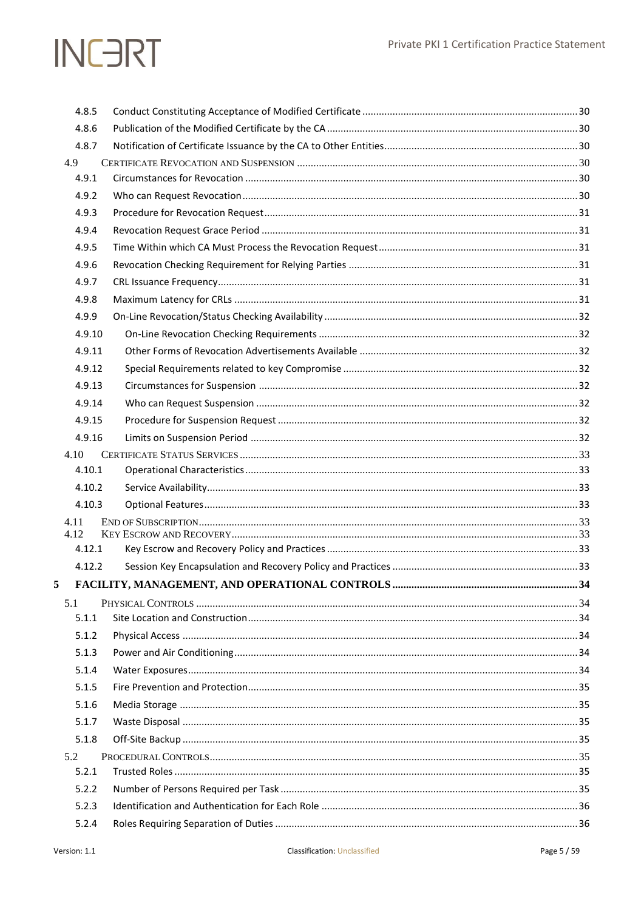|   | 4.8.5        |  |
|---|--------------|--|
|   | 4.8.6        |  |
|   | 4.8.7        |  |
|   | 4.9          |  |
|   | 4.9.1        |  |
|   | 4.9.2        |  |
|   | 4.9.3        |  |
|   | 4.9.4        |  |
|   | 4.9.5        |  |
|   | 4.9.6        |  |
|   | 4.9.7        |  |
|   | 4.9.8        |  |
|   | 4.9.9        |  |
|   | 4.9.10       |  |
|   | 4.9.11       |  |
|   | 4.9.12       |  |
|   | 4.9.13       |  |
|   | 4.9.14       |  |
|   | 4.9.15       |  |
|   | 4.9.16       |  |
|   | 4.10         |  |
|   | 4.10.1       |  |
|   | 4.10.2       |  |
|   | 4.10.3       |  |
|   | 4.11<br>4.12 |  |
|   | 4.12.1       |  |
|   | 4.12.2       |  |
| 5 |              |  |
|   |              |  |
|   | 5.1<br>5.1.1 |  |
|   | 5.1.2        |  |
|   | 5.1.3        |  |
|   | 5.1.4        |  |
|   | 5.1.5        |  |
|   | 5.1.6        |  |
|   | 5.1.7        |  |
|   | 5.1.8        |  |
|   | 5.2          |  |
|   | 5.2.1        |  |
|   | 5.2.2        |  |
|   | 5.2.3        |  |
|   | 5.2.4        |  |
|   |              |  |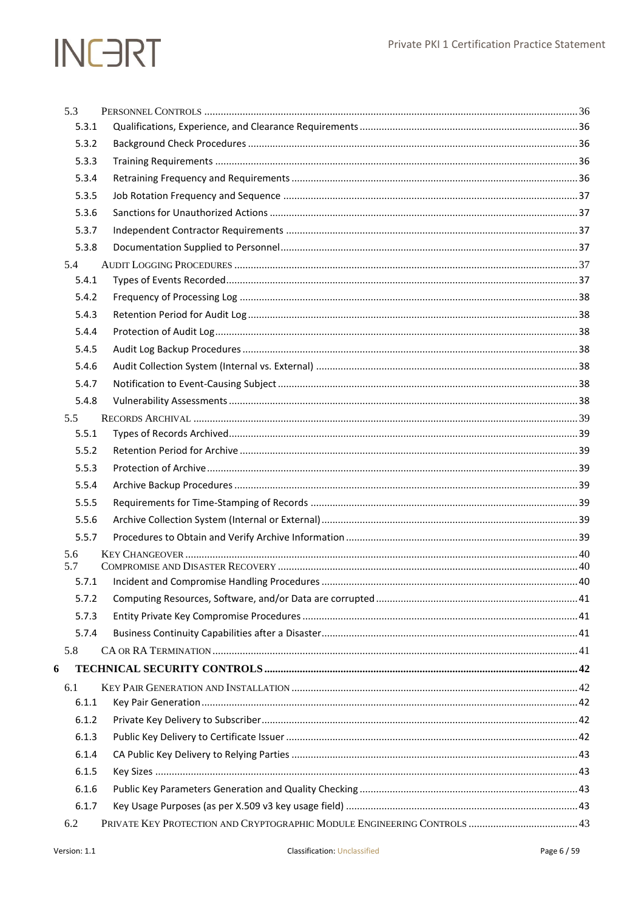|   | 5.3          |  |
|---|--------------|--|
|   | 5.3.1        |  |
|   | 5.3.2        |  |
|   | 5.3.3        |  |
|   | 5.3.4        |  |
|   | 5.3.5        |  |
|   | 5.3.6        |  |
|   | 5.3.7        |  |
|   | 5.3.8        |  |
|   | 5.4          |  |
|   | 5.4.1        |  |
|   | 5.4.2        |  |
|   | 5.4.3        |  |
|   | 5.4.4        |  |
|   | 5.4.5        |  |
|   | 5.4.6        |  |
|   | 5.4.7        |  |
|   | 5.4.8        |  |
|   | 5.5          |  |
|   | 5.5.1        |  |
|   | 5.5.2        |  |
|   | 5.5.3        |  |
|   | 5.5.4        |  |
|   | 5.5.5        |  |
|   | 5.5.6        |  |
|   | 5.5.7        |  |
|   | 5.6          |  |
|   | 5.7<br>5.7.1 |  |
|   | 5.7.2        |  |
|   | 5.7.3        |  |
|   | 5.7.4        |  |
|   | 5.8          |  |
| 6 |              |  |
|   |              |  |
|   | 6.1<br>6.1.1 |  |
|   | 6.1.2        |  |
|   | 6.1.3        |  |
|   | 6.1.4        |  |
|   | 6.1.5        |  |
|   | 6.1.6        |  |
|   |              |  |
|   | 6.1.7        |  |
|   | 6.2          |  |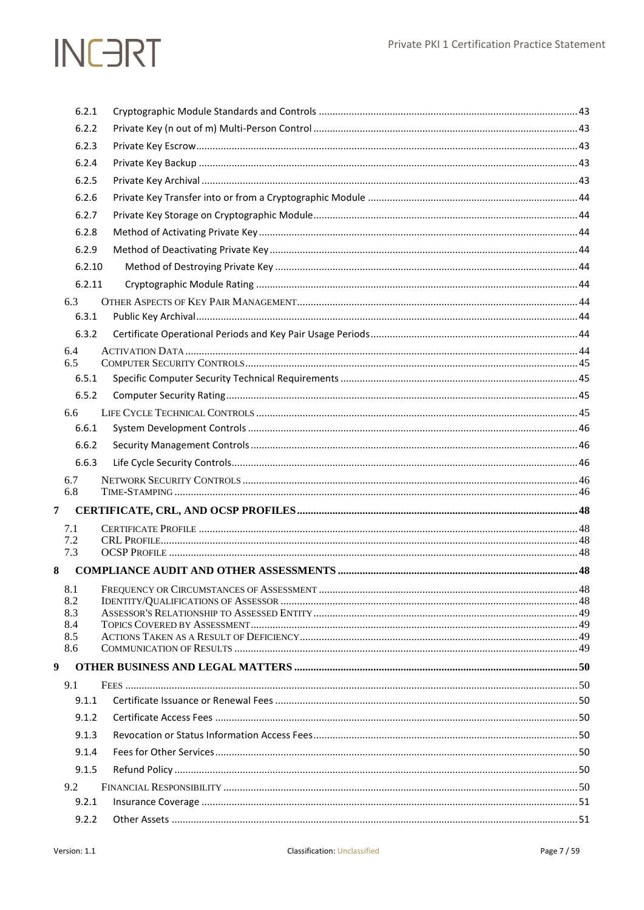|                | 6.2.1        |  |
|----------------|--------------|--|
|                | 6.2.2        |  |
|                | 6.2.3        |  |
|                | 6.2.4        |  |
|                | 6.2.5        |  |
|                | 6.2.6        |  |
|                | 6.2.7        |  |
|                | 6.2.8        |  |
|                | 6.2.9        |  |
|                | 6.2.10       |  |
|                | 6.2.11       |  |
|                | 6.3          |  |
|                | 6.3.1        |  |
|                | 6.3.2        |  |
|                | 6.4          |  |
|                | 6.5<br>6.5.1 |  |
|                | 6.5.2        |  |
|                | 6.6          |  |
|                | 6.6.1        |  |
|                | 6.6.2        |  |
|                | 6.6.3        |  |
|                | 6.7          |  |
|                | 6.8          |  |
| $\overline{7}$ |              |  |
|                | 7.1          |  |
|                | 7.2<br>7.3   |  |
|                |              |  |
| 8              |              |  |
|                | 8.1<br>8.2   |  |
|                | 8.3          |  |
|                | 8.4<br>8.5   |  |
|                | 8.6          |  |
| 9              |              |  |
|                | 9.1          |  |
|                | 9.1.1        |  |
|                | 9.1.2        |  |
|                | 9.1.3        |  |
|                | 9.1.4        |  |
|                | 9.1.5        |  |
|                | 9.2          |  |
|                | 9.2.1        |  |
|                | 9.2.2        |  |
|                |              |  |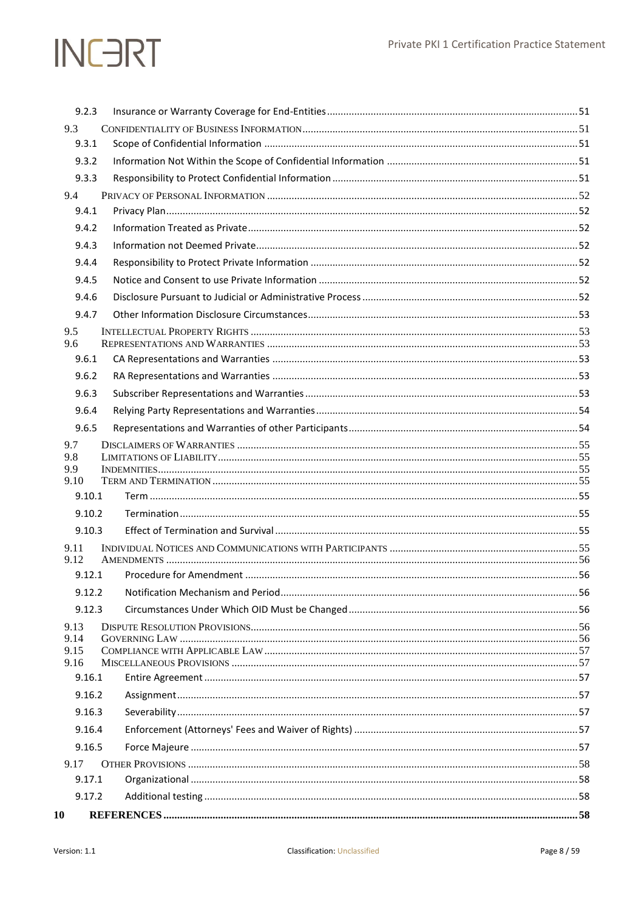| 9.2.3          |  |
|----------------|--|
| 9.3            |  |
| 9.3.1          |  |
| 9.3.2          |  |
| 9.3.3          |  |
| 9.4            |  |
| 9.4.1          |  |
| 9.4.2          |  |
| 9.4.3          |  |
| 9.4.4          |  |
| 9.4.5          |  |
| 9.4.6          |  |
| 9.4.7          |  |
| 9.5            |  |
| 9.6            |  |
| 9.6.1          |  |
| 9.6.2          |  |
| 9.6.3          |  |
| 9.6.4          |  |
| 9.6.5          |  |
| 9.7<br>9.8     |  |
| 9.9            |  |
| 9.10           |  |
| 9.10.1         |  |
| 9.10.2         |  |
| 9.10.3         |  |
| 9.11<br>9.12   |  |
| 9.12.1         |  |
| 9.12.2         |  |
| 9.12.3         |  |
| 9.13           |  |
| 9.14           |  |
| 9.15           |  |
| 9.16<br>9.16.1 |  |
|                |  |
| 9.16.2         |  |
| 9.16.3         |  |
| 9.16.4         |  |
| 9.16.5         |  |
| 9.17<br>9.17.1 |  |
|                |  |
| 9.17.2         |  |
| 10             |  |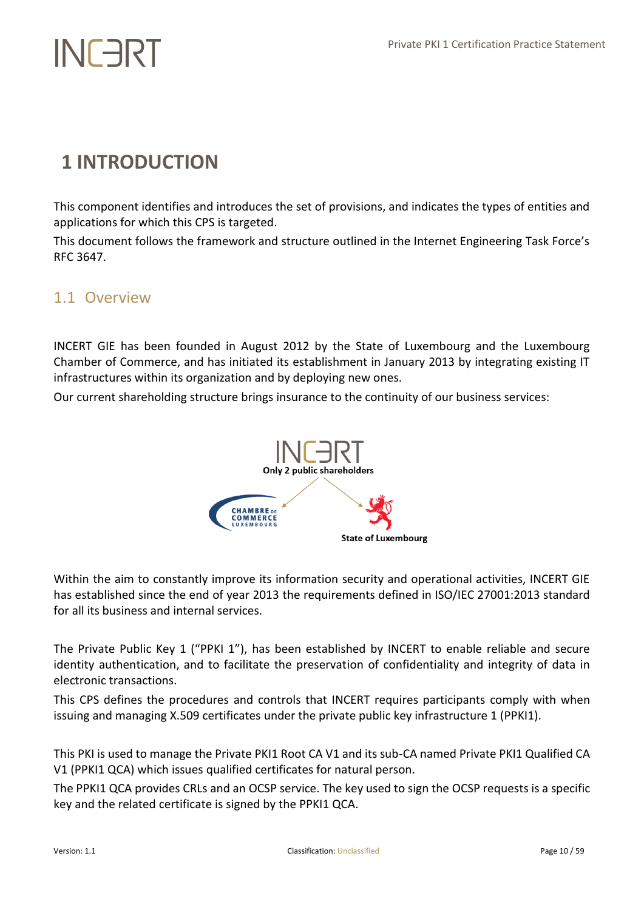# <span id="page-9-0"></span>**1 INTRODUCTION**

This component identifies and introduces the set of provisions, and indicates the types of entities and applications for which this CPS is targeted.

This document follows the framework and structure outlined in the Internet Engineering Task Force's RFC 3647.

# <span id="page-9-1"></span>1.1 Overview

INCERT GIE has been founded in August 2012 by the State of Luxembourg and the Luxembourg Chamber of Commerce, and has initiated its establishment in January 2013 by integrating existing IT infrastructures within its organization and by deploying new ones.

Our current shareholding structure brings insurance to the continuity of our business services:



Within the aim to constantly improve its information security and operational activities, INCERT GIE has established since the end of year 2013 the requirements defined in ISO/IEC 27001:2013 standard for all its business and internal services.

The Private Public Key 1 ("PPKI 1"), has been established by INCERT to enable reliable and secure identity authentication, and to facilitate the preservation of confidentiality and integrity of data in electronic transactions.

This CPS defines the procedures and controls that INCERT requires participants comply with when issuing and managing X.509 certificates under the private public key infrastructure 1 (PPKI1).

This PKI is used to manage the Private PKI1 Root CA V1 and its sub-CA named Private PKI1 Qualified CA V1 (PPKI1 QCA) which issues qualified certificates for natural person.

The PPKI1 QCA provides CRLs and an OCSP service. The key used to sign the OCSP requests is a specific key and the related certificate is signed by the PPKI1 QCA.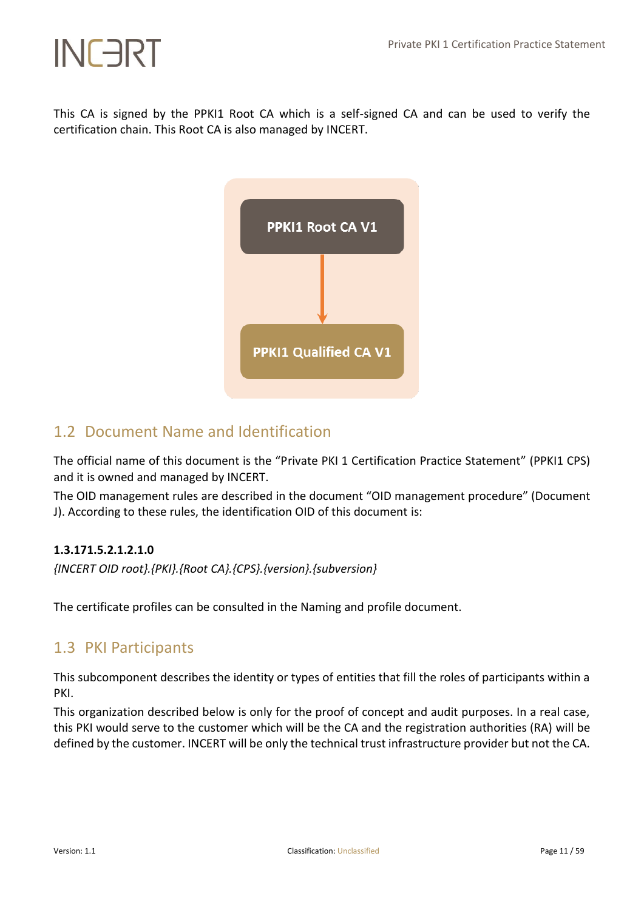This CA is signed by the PPKI1 Root CA which is a self-signed CA and can be used to verify the certification chain. This Root CA is also managed by INCERT.



# <span id="page-10-0"></span>1.2 Document Name and Identification

The official name of this document is the "Private PKI 1 Certification Practice Statement" (PPKI1 CPS) and it is owned and managed by INCERT.

The OID management rules are described in the document "OID management procedure" (Document J). According to these rules, the identification OID of this document is:

# **1.3.171.5.2.1.2.1.0**

*{INCERT OID root}.{PKI}.{Root CA}.{CPS}.{version}.{subversion}*

<span id="page-10-1"></span>The certificate profiles can be consulted in the Naming and profile document.

# 1.3 PKI Participants

This subcomponent describes the identity or types of entities that fill the roles of participants within a PKI.

This organization described below is only for the proof of concept and audit purposes. In a real case, this PKI would serve to the customer which will be the CA and the registration authorities (RA) will be defined by the customer. INCERT will be only the technical trust infrastructure provider but not the CA.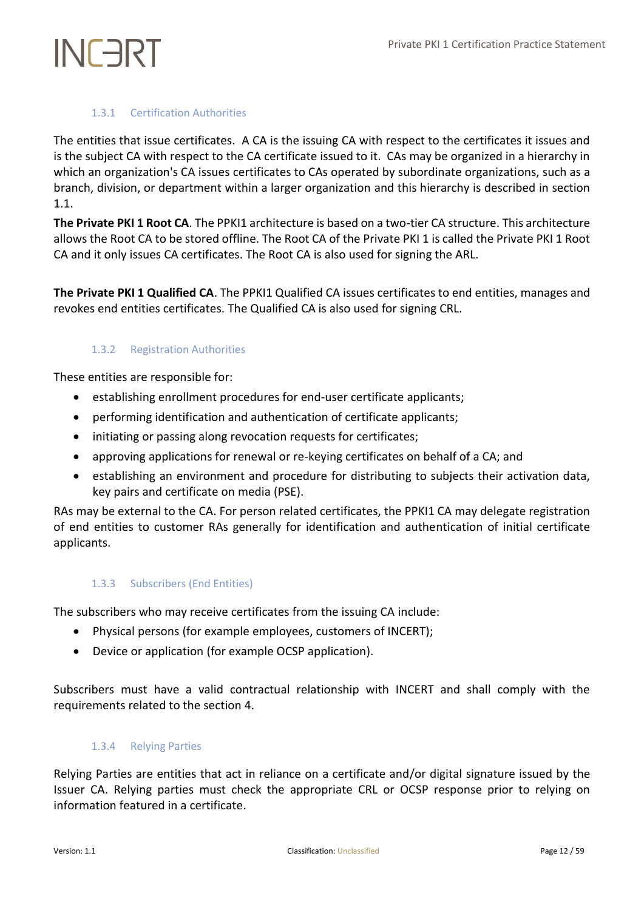# 1.3.1 Certification Authorities

<span id="page-11-0"></span>The entities that issue certificates. A CA is the issuing CA with respect to the certificates it issues and is the subject CA with respect to the CA certificate issued to it. CAs may be organized in a hierarchy in which an organization's CA issues certificates to CAs operated by subordinate organizations, such as a branch, division, or department within a larger organization and this hierarchy is described in section 1.1.

**The Private PKI 1 Root CA**. The PPKI1 architecture is based on a two-tier CA structure. This architecture allows the Root CA to be stored offline. The Root CA of the Private PKI 1 is called the Private PKI 1 Root CA and it only issues CA certificates. The Root CA is also used for signing the ARL.

<span id="page-11-1"></span>**The Private PKI 1 Qualified CA**. The PPKI1 Qualified CA issues certificates to end entities, manages and revokes end entities certificates. The Qualified CA is also used for signing CRL.

# 1.3.2 Registration Authorities

These entities are responsible for:

- establishing enrollment procedures for end-user certificate applicants;
- performing identification and authentication of certificate applicants;
- initiating or passing along revocation requests for certificates;
- approving applications for renewal or re-keying certificates on behalf of a CA; and
- establishing an environment and procedure for distributing to subjects their activation data, key pairs and certificate on media (PSE).

RAs may be external to the CA. For person related certificates, the PPKI1 CA may delegate registration of end entities to customer RAs generally for identification and authentication of initial certificate applicants.

# <span id="page-11-2"></span>1.3.3 Subscribers (End Entities)

The subscribers who may receive certificates from the issuing CA include:

- Physical persons (for example employees, customers of INCERT);
- Device or application (for example OCSP application).

<span id="page-11-3"></span>Subscribers must have a valid contractual relationship with INCERT and shall comply with the requirements related to the section 4.

## 1.3.4 Relying Parties

Relying Parties are entities that act in reliance on a certificate and/or digital signature issued by the Issuer CA. Relying parties must check the appropriate CRL or OCSP response prior to relying on information featured in a certificate.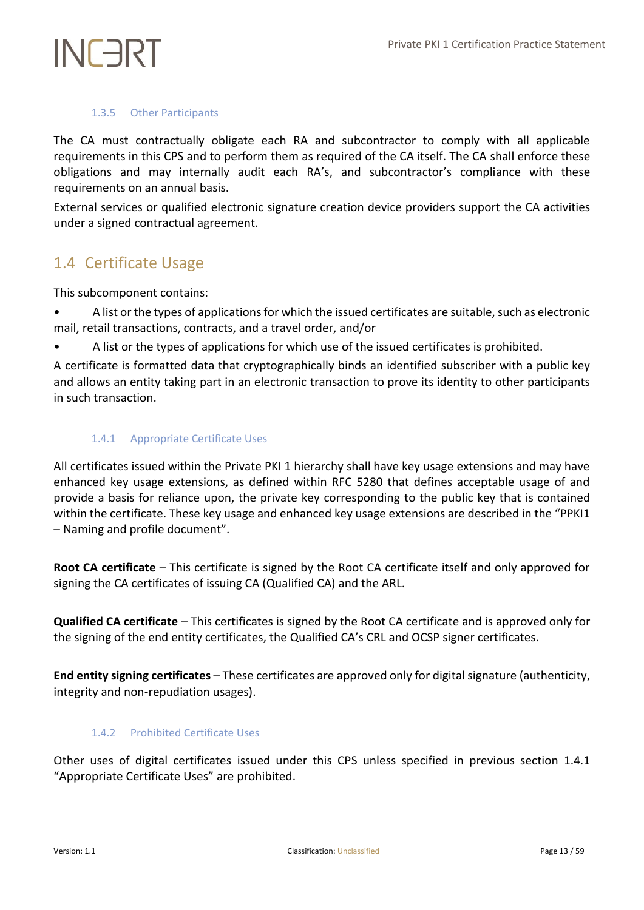## 1.3.5 Other Participants

<span id="page-12-0"></span>The CA must contractually obligate each RA and subcontractor to comply with all applicable requirements in this CPS and to perform them as required of the CA itself. The CA shall enforce these obligations and may internally audit each RA's, and subcontractor's compliance with these requirements on an annual basis.

External services or qualified electronic signature creation device providers support the CA activities under a signed contractual agreement.

# <span id="page-12-1"></span>1.4 Certificate Usage

This subcomponent contains:

- A list or the types of applications for which the issued certificates are suitable, such as electronic mail, retail transactions, contracts, and a travel order, and/or
- A list or the types of applications for which use of the issued certificates is prohibited.

A certificate is formatted data that cryptographically binds an identified subscriber with a public key and allows an entity taking part in an electronic transaction to prove its identity to other participants in such transaction.

## <span id="page-12-2"></span>1.4.1 Appropriate Certificate Uses

All certificates issued within the Private PKI 1 hierarchy shall have key usage extensions and may have enhanced key usage extensions, as defined within RFC 5280 that defines acceptable usage of and provide a basis for reliance upon, the private key corresponding to the public key that is contained within the certificate. These key usage and enhanced key usage extensions are described in the "PPKI1 – Naming and profile document".

**Root CA certificate** – This certificate is signed by the Root CA certificate itself and only approved for signing the CA certificates of issuing CA (Qualified CA) and the ARL.

**Qualified CA certificate** – This certificates is signed by the Root CA certificate and is approved only for the signing of the end entity certificates, the Qualified CA's CRL and OCSP signer certificates.

<span id="page-12-3"></span>**End entity signing certificates** – These certificates are approved only for digital signature (authenticity, integrity and non-repudiation usages).

# 1.4.2 Prohibited Certificate Uses

Other uses of digital certificates issued under this CPS unless specified in previous section 1.4.1 "Appropriate Certificate Uses" are prohibited.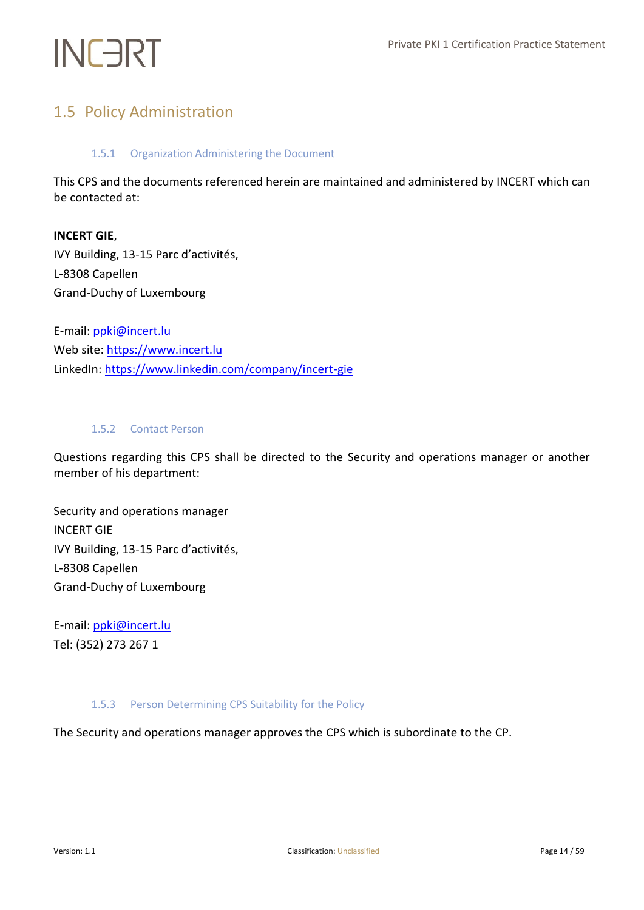# <span id="page-13-1"></span><span id="page-13-0"></span>1.5 Policy Administration

## 1.5.1 Organization Administering the Document

This CPS and the documents referenced herein are maintained and administered by INCERT which can be contacted at:

# **INCERT GIE**,

IVY Building, 13-15 Parc d'activités, L-8308 Capellen Grand-Duchy of Luxembourg

E-mail: [ppki@incert.lu](mailto:ppki@incert.lu) Web site[: https://www.incert.lu](https://www.incert.lu/) LinkedIn[: https://www.linkedin.com/company/incert-gie](https://www.linkedin.com/company/incert-gie)

## <span id="page-13-2"></span>1.5.2 Contact Person

Questions regarding this CPS shall be directed to the Security and operations manager or another member of his department:

Security and operations manager INCERT GIE IVY Building, 13-15 Parc d'activités, L-8308 Capellen Grand-Duchy of Luxembourg

E-mail: [ppki@incert.lu](mailto:ppki@incert.lu) Tel: (352) 273 267 1

## <span id="page-13-3"></span>1.5.3 Person Determining CPS Suitability for the Policy

The Security and operations manager approves the CPS which is subordinate to the CP.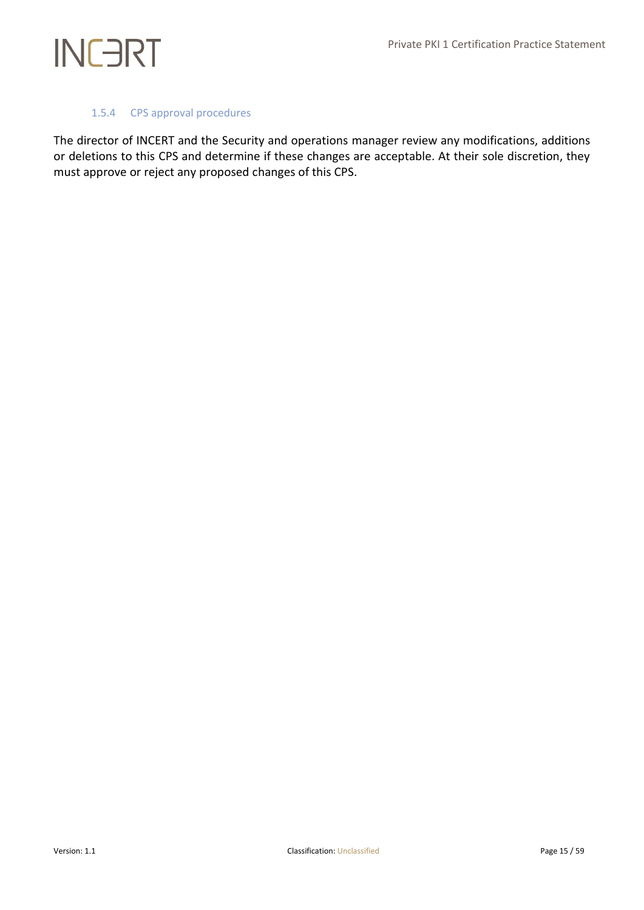## 1.5.4 CPS approval procedures

<span id="page-14-0"></span>The director of INCERT and the Security and operations manager review any modifications, additions or deletions to this CPS and determine if these changes are acceptable. At their sole discretion, they must approve or reject any proposed changes of this CPS.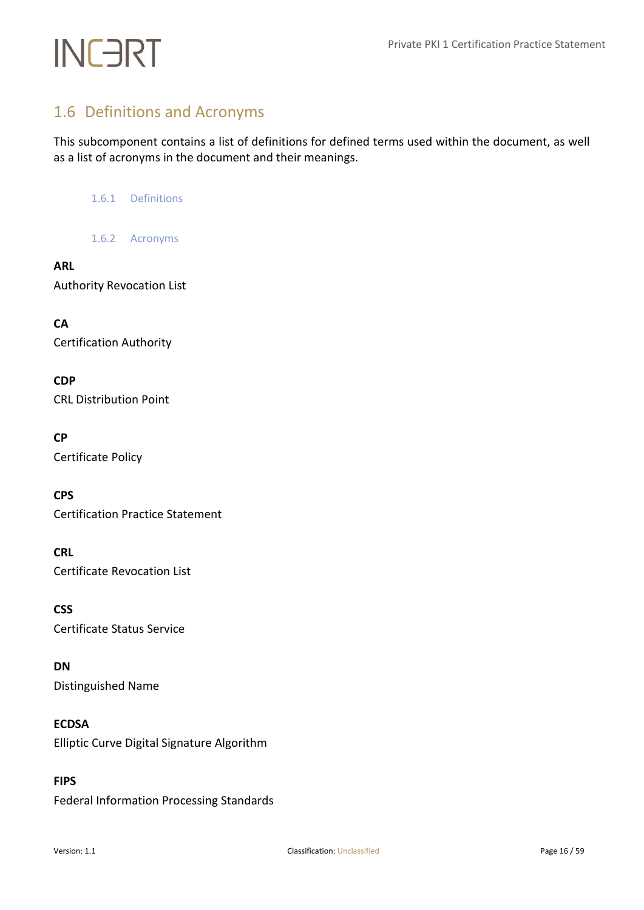# <span id="page-15-0"></span>1.6 Definitions and Acronyms

<span id="page-15-1"></span>This subcomponent contains a list of definitions for defined terms used within the document, as well as a list of acronyms in the document and their meanings.

1.6.1 Definitions

1.6.2 Acronyms

# <span id="page-15-2"></span>**ARL**

Authority Revocation List

**CA** Certification Authority

**CDP** CRL Distribution Point

# **CP**

Certificate Policy

**CPS**

Certification Practice Statement

# **CRL**

Certificate Revocation List

**CSS** Certificate Status Service

## **DN**

Distinguished Name

# **ECDSA**

Elliptic Curve Digital Signature Algorithm

# **FIPS**

Federal Information Processing Standards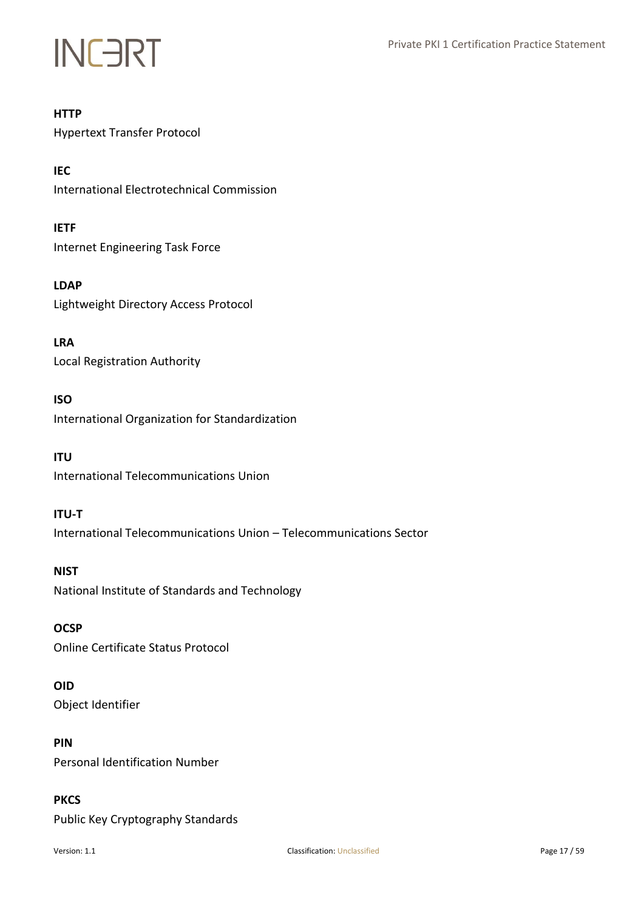

## **HTTP**

Hypertext Transfer Protocol

**IEC** International Electrotechnical Commission

**IETF** Internet Engineering Task Force

**LDAP** Lightweight Directory Access Protocol

**LRA** Local Registration Authority

# **ISO**

International Organization for Standardization

# **ITU**

International Telecommunications Union

## **ITU-T**

International Telecommunications Union – Telecommunications Sector

**NIST** National Institute of Standards and Technology

## **OCSP**

Online Certificate Status Protocol

## **OID**

Object Identifier

# **PIN**

Personal Identification Number

# **PKCS**

Public Key Cryptography Standards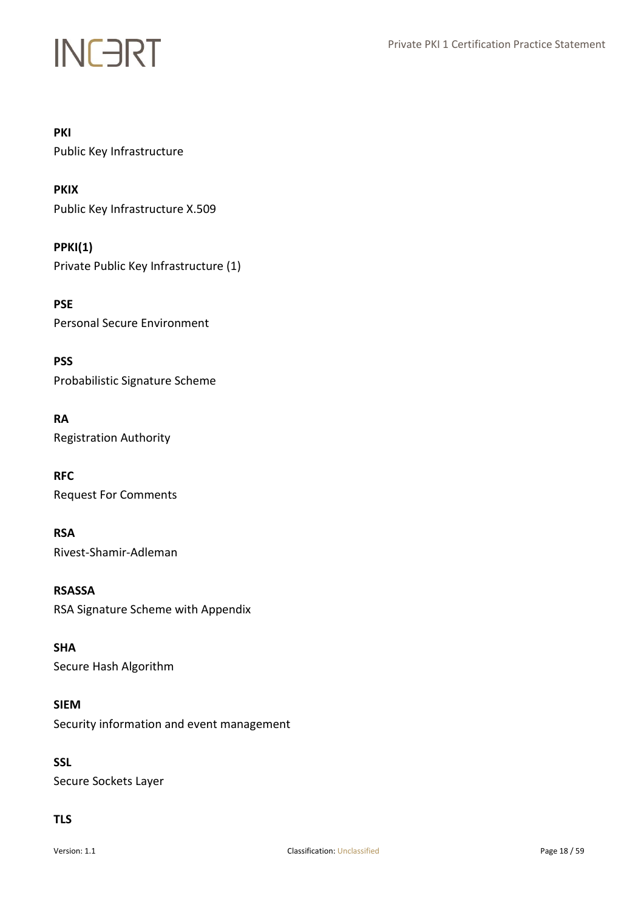## **PKI**

Public Key Infrastructure

# **PKIX**

Public Key Infrastructure X.509

## **PPKI(1)**

Private Public Key Infrastructure (1)

**PSE** Personal Secure Environment

# **PSS**

Probabilistic Signature Scheme

# **RA**

Registration Authority

# **RFC**

Request For Comments

## **RSA**

Rivest-Shamir-Adleman

## **RSASSA**

RSA Signature Scheme with Appendix

## **SHA**

Secure Hash Algorithm

## **SIEM**

Security information and event management

## **SSL**

Secure Sockets Layer

# **TLS**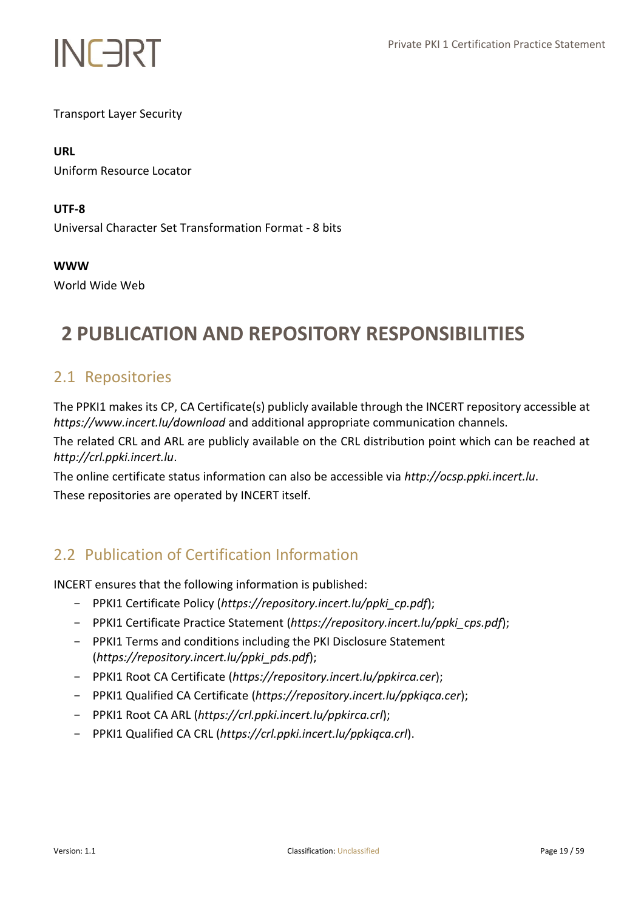

Transport Layer Security

# **URL**

Uniform Resource Locator

## **UTF-8**

Universal Character Set Transformation Format - 8 bits

**WWW**

World Wide Web

# <span id="page-18-0"></span>**2 PUBLICATION AND REPOSITORY RESPONSIBILITIES**

# <span id="page-18-1"></span>2.1 Repositories

The PPKI1 makes its CP, CA Certificate(s) publicly available through the INCERT repository accessible at *https://www.incert.lu/download* and additional appropriate communication channels.

The related CRL and ARL are publicly available on the CRL distribution point which can be reached at *http://crl.ppki.incert.lu*.

The online certificate status information can also be accessible via *http://ocsp.ppki.incert.lu*. These repositories are operated by INCERT itself.

# <span id="page-18-2"></span>2.2 Publication of Certification Information

INCERT ensures that the following information is published:

- PPKI1 Certificate Policy (*https://repository.incert.lu/ppki\_cp.pdf*);
- PPKI1 Certificate Practice Statement (*https://repository.incert.lu/ppki\_cps.pdf*);
- PPKI1 Terms and conditions including the PKI Disclosure Statement (*https://repository.incert.lu/ppki\_pds.pdf*);
- PPKI1 Root CA Certificate (*https://repository.incert.lu/ppkirca.cer*);
- PPKI1 Qualified CA Certificate (*https://repository.incert.lu/ppkiqca.cer*);
- PPKI1 Root CA ARL (*https://crl.ppki.incert.lu/ppkirca.crl*);
- PPKI1 Qualified CA CRL (*https://crl.ppki.incert.lu/ppkiqca.crl*).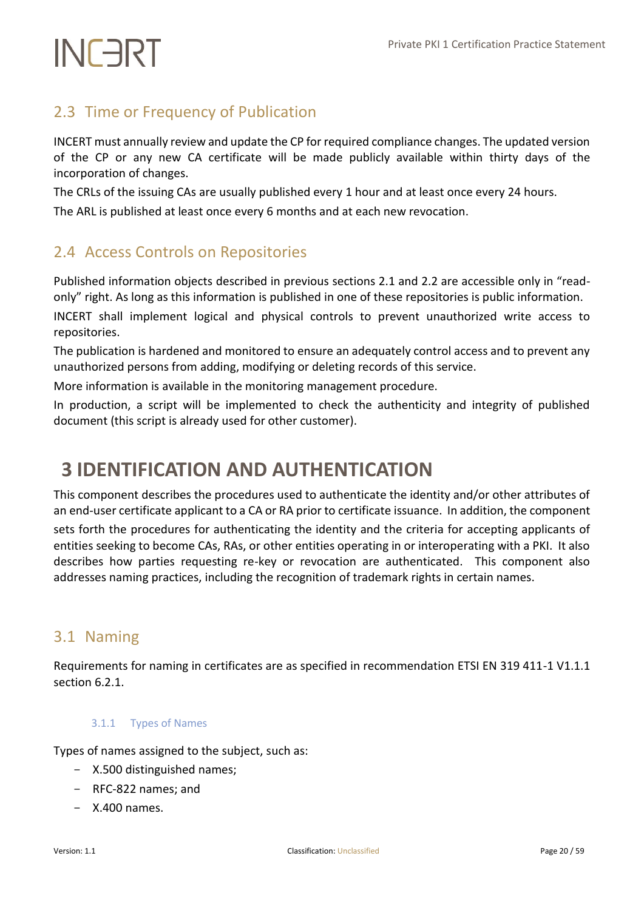# <span id="page-19-0"></span>2.3 Time or Frequency of Publication

INCERT must annually review and update the CP for required compliance changes. The updated version of the CP or any new CA certificate will be made publicly available within thirty days of the incorporation of changes.

The CRLs of the issuing CAs are usually published every 1 hour and at least once every 24 hours.

<span id="page-19-1"></span>The ARL is published at least once every 6 months and at each new revocation.

# 2.4 Access Controls on Repositories

Published information objects described in previous sections 2.1 and 2.2 are accessible only in "readonly" right. As long as this information is published in one of these repositories is public information. INCERT shall implement logical and physical controls to prevent unauthorized write access to

repositories.

The publication is hardened and monitored to ensure an adequately control access and to prevent any unauthorized persons from adding, modifying or deleting records of this service.

More information is available in the monitoring management procedure.

In production, a script will be implemented to check the authenticity and integrity of published document (this script is already used for other customer).

# <span id="page-19-2"></span>**3 IDENTIFICATION AND AUTHENTICATION**

This component describes the procedures used to authenticate the identity and/or other attributes of an end-user certificate applicant to a CA or RA prior to certificate issuance. In addition, the component

sets forth the procedures for authenticating the identity and the criteria for accepting applicants of entities seeking to become CAs, RAs, or other entities operating in or interoperating with a PKI. It also describes how parties requesting re-key or revocation are authenticated. This component also addresses naming practices, including the recognition of trademark rights in certain names.

# <span id="page-19-3"></span>3.1 Naming

<span id="page-19-4"></span>Requirements for naming in certificates are as specified in recommendation ETSI EN 319 411-1 V1.1.1 section 6.2.1.

# 3.1.1 Types of Names

Types of names assigned to the subject, such as:

- X.500 distinguished names;
- RFC-822 names; and
- $X.400$  names.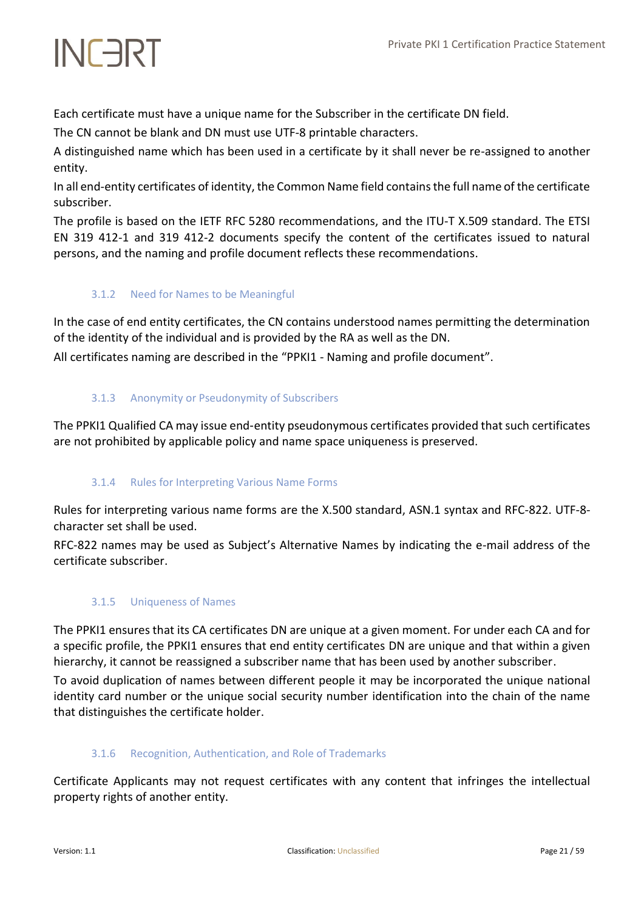Each certificate must have a unique name for the Subscriber in the certificate DN field.

The CN cannot be blank and DN must use UTF-8 printable characters.

A distinguished name which has been used in a certificate by it shall never be re-assigned to another entity.

In all end-entity certificates of identity, the Common Name field contains the full name of the certificate subscriber.

The profile is based on the IETF RFC 5280 recommendations, and the ITU-T X.509 standard. The ETSI EN 319 412-1 and 319 412-2 documents specify the content of the certificates issued to natural persons, and the naming and profile document reflects these recommendations.

# <span id="page-20-0"></span>3.1.2 Need for Names to be Meaningful

In the case of end entity certificates, the CN contains understood names permitting the determination of the identity of the individual and is provided by the RA as well as the DN.

<span id="page-20-1"></span>All certificates naming are described in the "PPKI1 - Naming and profile document".

# 3.1.3 Anonymity or Pseudonymity of Subscribers

<span id="page-20-2"></span>The PPKI1 Qualified CA may issue end‐entity pseudonymous certificates provided that such certificates are not prohibited by applicable policy and name space uniqueness is preserved.

# 3.1.4 Rules for Interpreting Various Name Forms

Rules for interpreting various name forms are the X.500 standard, ASN.1 syntax and RFC-822. UTF-8 character set shall be used.

<span id="page-20-3"></span>RFC-822 names may be used as Subject's Alternative Names by indicating the e-mail address of the certificate subscriber.

# 3.1.5 Uniqueness of Names

The PPKI1 ensures that its CA certificates DN are unique at a given moment. For under each CA and for a specific profile, the PPKI1 ensures that end entity certificates DN are unique and that within a given hierarchy, it cannot be reassigned a subscriber name that has been used by another subscriber.

To avoid duplication of names between different people it may be incorporated the unique national identity card number or the unique social security number identification into the chain of the name that distinguishes the certificate holder.

# <span id="page-20-4"></span>3.1.6 Recognition, Authentication, and Role of Trademarks

Certificate Applicants may not request certificates with any content that infringes the intellectual property rights of another entity.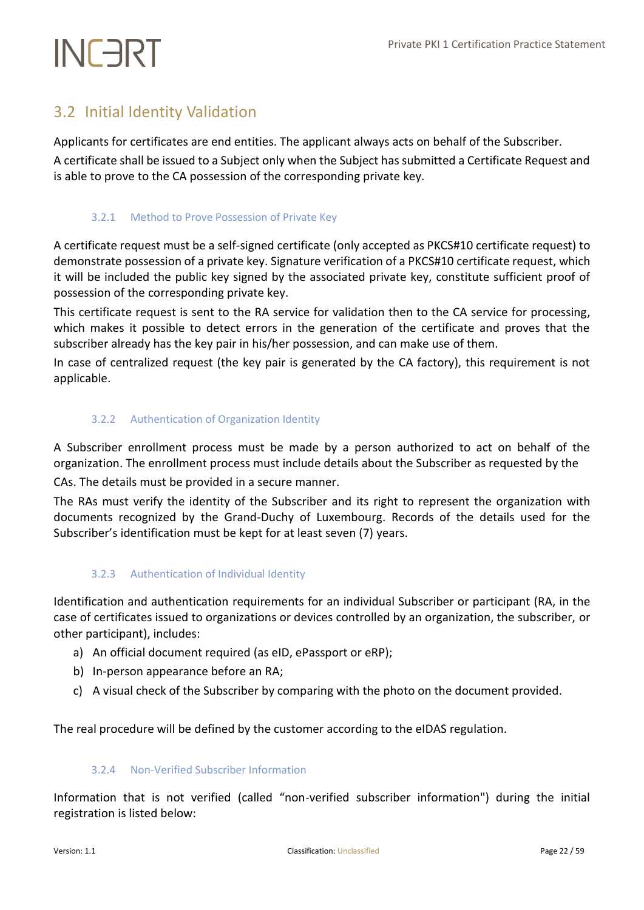# <span id="page-21-0"></span>3.2 Initial Identity Validation

Applicants for certificates are end entities. The applicant always acts on behalf of the Subscriber.

<span id="page-21-1"></span>A certificate shall be issued to a Subject only when the Subject has submitted a Certificate Request and is able to prove to the CA possession of the corresponding private key.

# 3.2.1 Method to Prove Possession of Private Key

A certificate request must be a self-signed certificate (only accepted as PKCS#10 certificate request) to demonstrate possession of a private key. Signature verification of a PKCS#10 certificate request, which it will be included the public key signed by the associated private key, constitute sufficient proof of possession of the corresponding private key.

This certificate request is sent to the RA service for validation then to the CA service for processing, which makes it possible to detect errors in the generation of the certificate and proves that the subscriber already has the key pair in his/her possession, and can make use of them.

<span id="page-21-2"></span>In case of centralized request (the key pair is generated by the CA factory), this requirement is not applicable.

# 3.2.2 Authentication of Organization Identity

A Subscriber enrollment process must be made by a person authorized to act on behalf of the organization. The enrollment process must include details about the Subscriber as requested by the CAs. The details must be provided in a secure manner.

The RAs must verify the identity of the Subscriber and its right to represent the organization with documents recognized by the Grand-Duchy of Luxembourg. Records of the details used for the Subscriber's identification must be kept for at least seven (7) years.

# <span id="page-21-3"></span>3.2.3 Authentication of Individual Identity

Identification and authentication requirements for an individual Subscriber or participant (RA, in the case of certificates issued to organizations or devices controlled by an organization, the subscriber, or other participant), includes:

- a) An official document required (as eID, ePassport or eRP);
- b) In‐person appearance before an RA;
- c) A visual check of the Subscriber by comparing with the photo on the document provided.

<span id="page-21-4"></span>The real procedure will be defined by the customer according to the eIDAS regulation.

# 3.2.4 Non-Verified Subscriber Information

Information that is not verified (called "non-verified subscriber information") during the initial registration is listed below: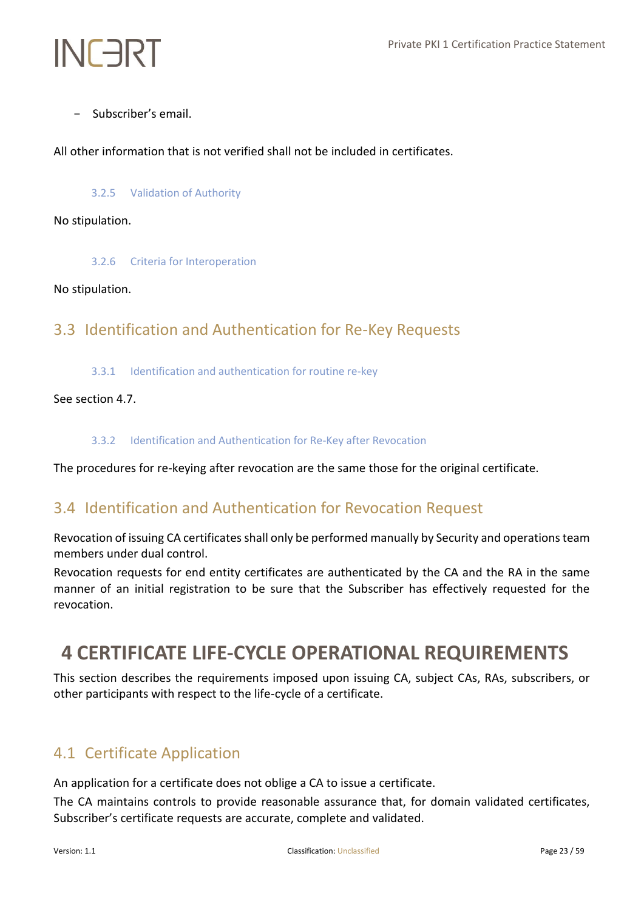- Subscriber's email.

<span id="page-22-0"></span>All other information that is not verified shall not be included in certificates.

# 3.2.5 Validation of Authority

## <span id="page-22-1"></span>No stipulation.

3.2.6 Criteria for Interoperation

## <span id="page-22-2"></span>No stipulation.

# <span id="page-22-3"></span>3.3 Identification and Authentication for Re‐Key Requests

3.3.1 Identification and authentication for routine re-key

# <span id="page-22-4"></span>See section 4.7.

## 3.3.2 Identification and Authentication for Re-Key after Revocation

<span id="page-22-5"></span>The procedures for re-keying after revocation are the same those for the original certificate.

# 3.4 Identification and Authentication for Revocation Request

Revocation of issuing CA certificates shall only be performed manually by Security and operations team members under dual control.

Revocation requests for end entity certificates are authenticated by the CA and the RA in the same manner of an initial registration to be sure that the Subscriber has effectively requested for the revocation.

# <span id="page-22-6"></span>**4 CERTIFICATE LIFE-CYCLE OPERATIONAL REQUIREMENTS**

This section describes the requirements imposed upon issuing CA, subject CAs, RAs, subscribers, or other participants with respect to the life-cycle of a certificate.

# <span id="page-22-7"></span>4.1 Certificate Application

An application for a certificate does not oblige a CA to issue a certificate.

The CA maintains controls to provide reasonable assurance that, for domain validated certificates, Subscriber's certificate requests are accurate, complete and validated.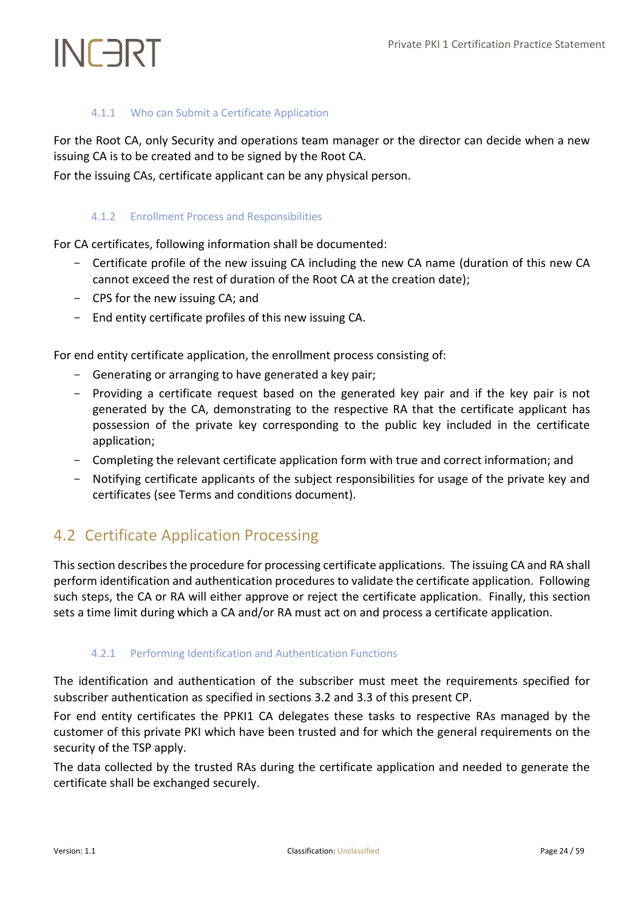# 4.1.1 Who can Submit a Certificate Application

<span id="page-23-0"></span>For the Root CA, only Security and operations team manager or the director can decide when a new issuing CA is to be created and to be signed by the Root CA.

<span id="page-23-1"></span>For the issuing CAs, certificate applicant can be any physical person.

# 4.1.2 Enrollment Process and Responsibilities

For CA certificates, following information shall be documented:

- Certificate profile of the new issuing CA including the new CA name (duration of this new CA cannot exceed the rest of duration of the Root CA at the creation date);
- CPS for the new issuing CA; and
- End entity certificate profiles of this new issuing CA.

For end entity certificate application, the enrollment process consisting of:

- Generating or arranging to have generated a key pair;
- Providing a certificate request based on the generated key pair and if the key pair is not generated by the CA, demonstrating to the respective RA that the certificate applicant has possession of the private key corresponding to the public key included in the certificate application;
- Completing the relevant certificate application form with true and correct information; and
- Notifying certificate applicants of the subject responsibilities for usage of the private key and certificates (see Terms and conditions document).

# <span id="page-23-2"></span>4.2 Certificate Application Processing

This section describes the procedure for processing certificate applications. The issuing CA and RA shall perform identification and authentication procedures to validate the certificate application. Following such steps, the CA or RA will either approve or reject the certificate application. Finally, this section sets a time limit during which a CA and/or RA must act on and process a certificate application.

# <span id="page-23-3"></span>4.2.1 Performing Identification and Authentication Functions

The identification and authentication of the subscriber must meet the requirements specified for subscriber authentication as specified in sections 3.2 and 3.3 of this present CP.

For end entity certificates the PPKI1 CA delegates these tasks to respective RAs managed by the customer of this private PKI which have been trusted and for which the general requirements on the security of the TSP apply.

The data collected by the trusted RAs during the certificate application and needed to generate the certificate shall be exchanged securely.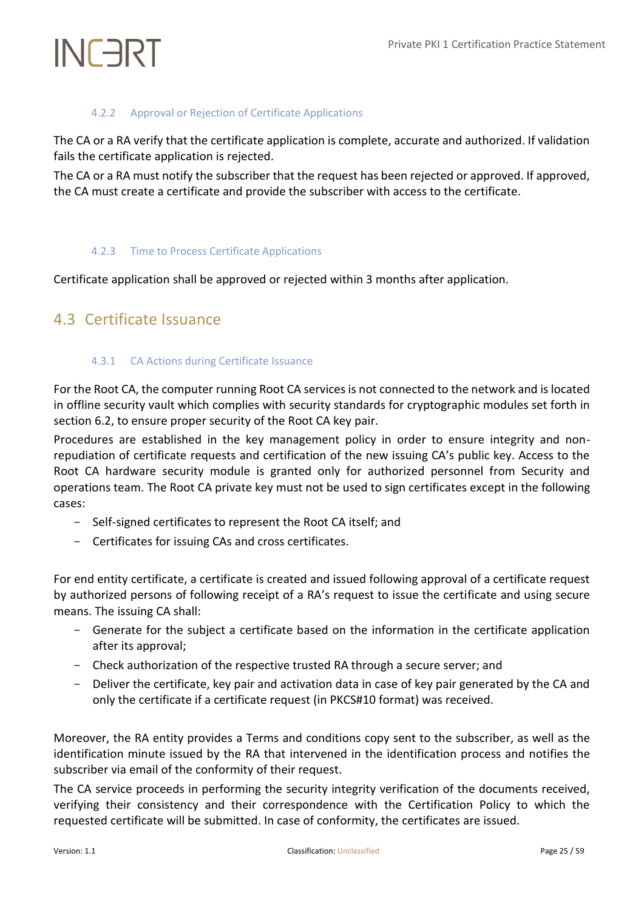# 4.2.2 Approval or Rejection of Certificate Applications

<span id="page-24-0"></span>The CA or a RA verify that the certificate application is complete, accurate and authorized. If validation fails the certificate application is rejected.

The CA or a RA must notify the subscriber that the request has been rejected or approved. If approved, the CA must create a certificate and provide the subscriber with access to the certificate.

## <span id="page-24-1"></span>4.2.3 Time to Process Certificate Applications

<span id="page-24-2"></span>Certificate application shall be approved or rejected within 3 months after application.

# <span id="page-24-3"></span>4.3 Certificate Issuance

# 4.3.1 CA Actions during Certificate Issuance

For the Root CA, the computer running Root CA services is not connected to the network and is located in offline security vault which complies with security standards for cryptographic modules set forth in section 6.2, to ensure proper security of the Root CA key pair.

Procedures are established in the key management policy in order to ensure integrity and nonrepudiation of certificate requests and certification of the new issuing CA's public key. Access to the Root CA hardware security module is granted only for authorized personnel from Security and operations team. The Root CA private key must not be used to sign certificates except in the following cases:

- Self-signed certificates to represent the Root CA itself; and
- Certificates for issuing CAs and cross certificates.

For end entity certificate, a certificate is created and issued following approval of a certificate request by authorized persons of following receipt of a RA's request to issue the certificate and using secure means. The issuing CA shall:

- Generate for the subject a certificate based on the information in the certificate application after its approval;
- Check authorization of the respective trusted RA through a secure server; and
- Deliver the certificate, key pair and activation data in case of key pair generated by the CA and only the certificate if a certificate request (in PKCS#10 format) was received.

Moreover, the RA entity provides a Terms and conditions copy sent to the subscriber, as well as the identification minute issued by the RA that intervened in the identification process and notifies the subscriber via email of the conformity of their request.

The CA service proceeds in performing the security integrity verification of the documents received, verifying their consistency and their correspondence with the Certification Policy to which the requested certificate will be submitted. In case of conformity, the certificates are issued.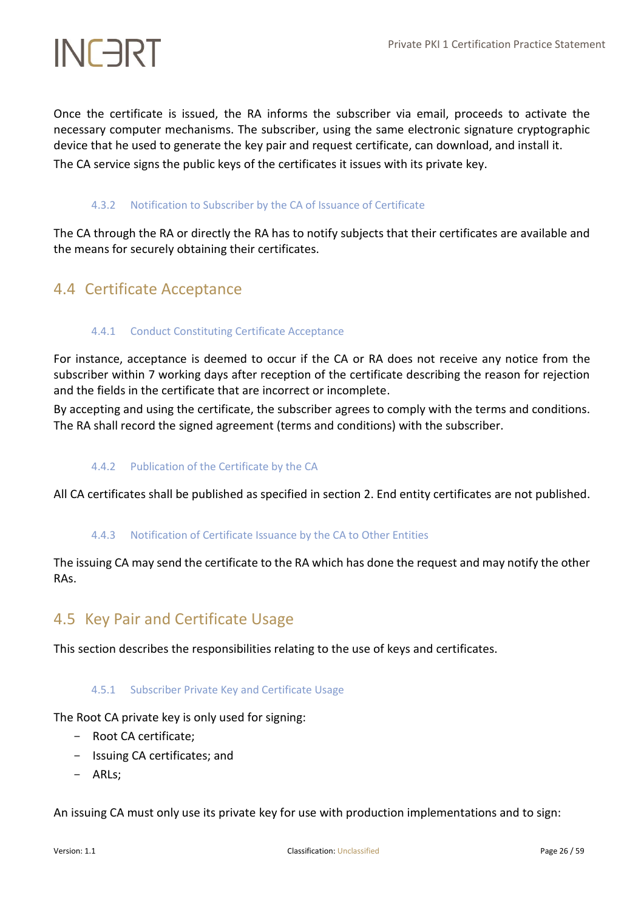Once the certificate is issued, the RA informs the subscriber via email, proceeds to activate the necessary computer mechanisms. The subscriber, using the same electronic signature cryptographic device that he used to generate the key pair and request certificate, can download, and install it.

<span id="page-25-0"></span>The CA service signs the public keys of the certificates it issues with its private key.

## 4.3.2 Notification to Subscriber by the CA of Issuance of Certificate

The CA through the RA or directly the RA has to notify subjects that their certificates are available and the means for securely obtaining their certificates.

# <span id="page-25-2"></span><span id="page-25-1"></span>4.4 Certificate Acceptance

## 4.4.1 Conduct Constituting Certificate Acceptance

For instance, acceptance is deemed to occur if the CA or RA does not receive any notice from the subscriber within 7 working days after reception of the certificate describing the reason for rejection and the fields in the certificate that are incorrect or incomplete.

<span id="page-25-3"></span>By accepting and using the certificate, the subscriber agrees to comply with the terms and conditions. The RA shall record the signed agreement (terms and conditions) with the subscriber.

## 4.4.2 Publication of the Certificate by the CA

<span id="page-25-4"></span>All CA certificates shall be published as specified in section 2. End entity certificates are not published.

## 4.4.3 Notification of Certificate Issuance by the CA to Other Entities

The issuing CA may send the certificate to the RA which has done the request and may notify the other RAs.

# <span id="page-25-5"></span>4.5 Key Pair and Certificate Usage

<span id="page-25-6"></span>This section describes the responsibilities relating to the use of keys and certificates.

## 4.5.1 Subscriber Private Key and Certificate Usage

The Root CA private key is only used for signing:

- Root CA certificate;
- Issuing CA certificates; and
- ARLs;

An issuing CA must only use its private key for use with production implementations and to sign: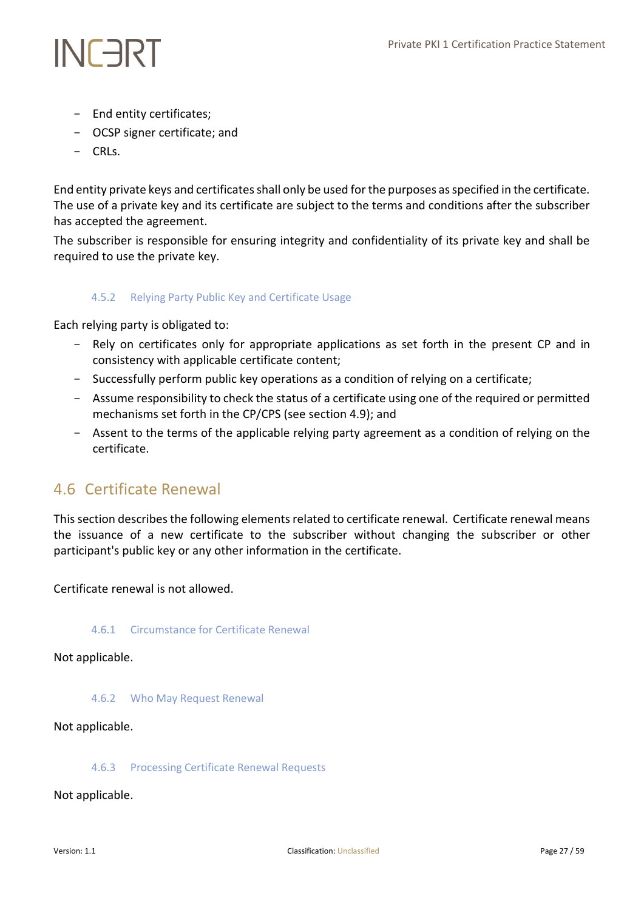- End entity certificates;
- OCSP signer certificate; and
- CRLs.

End entity private keys and certificates shall only be used for the purposes as specified in the certificate. The use of a private key and its certificate are subject to the terms and conditions after the subscriber has accepted the agreement.

<span id="page-26-0"></span>The subscriber is responsible for ensuring integrity and confidentiality of its private key and shall be required to use the private key.

# 4.5.2 Relying Party Public Key and Certificate Usage

Each relying party is obligated to:

- Rely on certificates only for appropriate applications as set forth in the present CP and in consistency with applicable certificate content;
- Successfully perform public key operations as a condition of relying on a certificate;
- Assume responsibility to check the status of a certificate using one of the required or permitted mechanisms set forth in the CP/CPS (see section 4.9); and
- Assent to the terms of the applicable relying party agreement as a condition of relying on the certificate.

# <span id="page-26-1"></span>4.6 Certificate Renewal

This section describes the following elements related to certificate renewal. Certificate renewal means the issuance of a new certificate to the subscriber without changing the subscriber or other participant's public key or any other information in the certificate.

<span id="page-26-2"></span>Certificate renewal is not allowed.

## 4.6.1 Circumstance for Certificate Renewal

<span id="page-26-3"></span>Not applicable.

4.6.2 Who May Request Renewal

<span id="page-26-4"></span>Not applicable.

## 4.6.3 Processing Certificate Renewal Requests

Not applicable.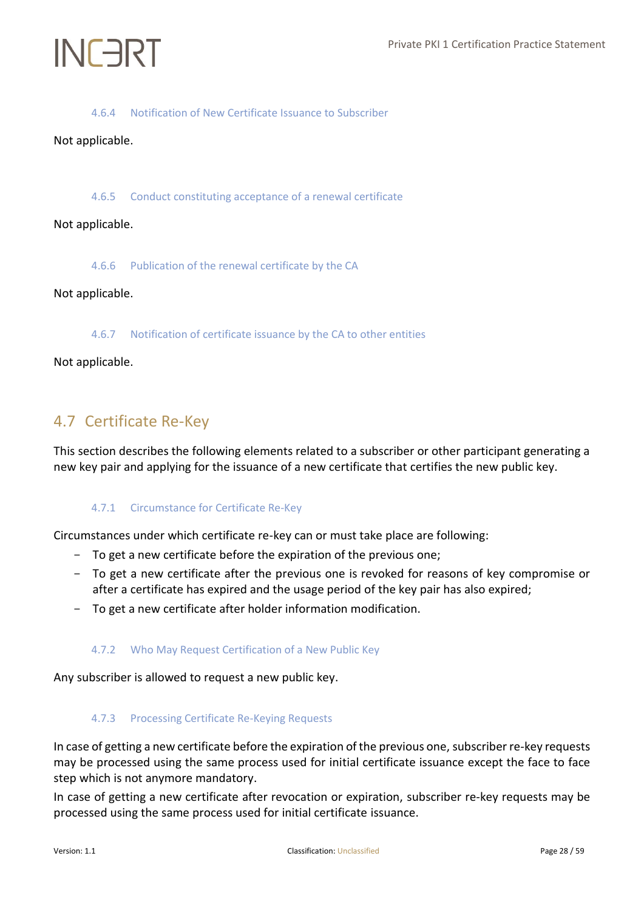## 4.6.4 Notification of New Certificate Issuance to Subscriber

## <span id="page-27-1"></span><span id="page-27-0"></span>Not applicable.

4.6.5 Conduct constituting acceptance of a renewal certificate

<span id="page-27-2"></span>Not applicable.

4.6.6 Publication of the renewal certificate by the CA

### <span id="page-27-3"></span>Not applicable.

4.6.7 Notification of certificate issuance by the CA to other entities

Not applicable.

# <span id="page-27-4"></span>4.7 Certificate Re‐Key

<span id="page-27-5"></span>This section describes the following elements related to a subscriber or other participant generating a new key pair and applying for the issuance of a new certificate that certifies the new public key.

## 4.7.1 Circumstance for Certificate Re-Key

Circumstances under which certificate re-key can or must take place are following:

- To get a new certificate before the expiration of the previous one;
- To get a new certificate after the previous one is revoked for reasons of key compromise or after a certificate has expired and the usage period of the key pair has also expired;
- <span id="page-27-6"></span>- To get a new certificate after holder information modification.

## 4.7.2 Who May Request Certification of a New Public Key

<span id="page-27-7"></span>Any subscriber is allowed to request a new public key.

## 4.7.3 Processing Certificate Re-Keying Requests

In case of getting a new certificate before the expiration of the previous one, subscriber re-key requests may be processed using the same process used for initial certificate issuance except the face to face step which is not anymore mandatory.

In case of getting a new certificate after revocation or expiration, subscriber re-key requests may be processed using the same process used for initial certificate issuance.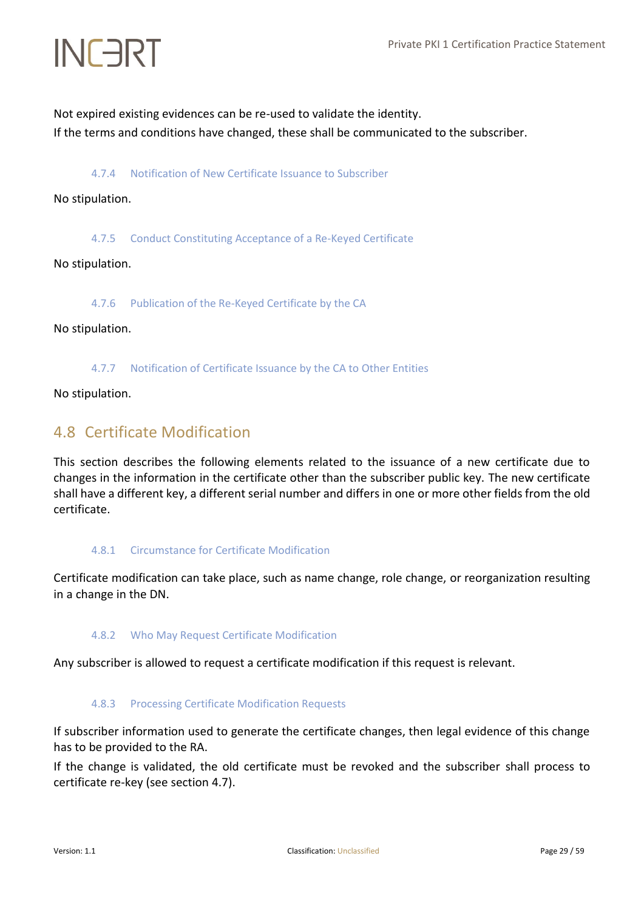<span id="page-28-0"></span>Not expired existing evidences can be re-used to validate the identity. If the terms and conditions have changed, these shall be communicated to the subscriber.

4.7.4 Notification of New Certificate Issuance to Subscriber

<span id="page-28-1"></span>No stipulation.

4.7.5 Conduct Constituting Acceptance of a Re-Keyed Certificate

<span id="page-28-2"></span>No stipulation.

4.7.6 Publication of the Re-Keyed Certificate by the CA

<span id="page-28-3"></span>No stipulation.

4.7.7 Notification of Certificate Issuance by the CA to Other Entities

<span id="page-28-4"></span>No stipulation.

# 4.8 Certificate Modification

This section describes the following elements related to the issuance of a new certificate due to changes in the information in the certificate other than the subscriber public key. The new certificate shall have a different key, a different serial number and differs in one or more other fields from the old certificate.

## <span id="page-28-5"></span>4.8.1 Circumstance for Certificate Modification

<span id="page-28-6"></span>Certificate modification can take place, such as name change, role change, or reorganization resulting in a change in the DN.

## 4.8.2 Who May Request Certificate Modification

<span id="page-28-7"></span>Any subscriber is allowed to request a certificate modification if this request is relevant.

## 4.8.3 Processing Certificate Modification Requests

If subscriber information used to generate the certificate changes, then legal evidence of this change has to be provided to the RA.

If the change is validated, the old certificate must be revoked and the subscriber shall process to certificate re-key (see section 4.7).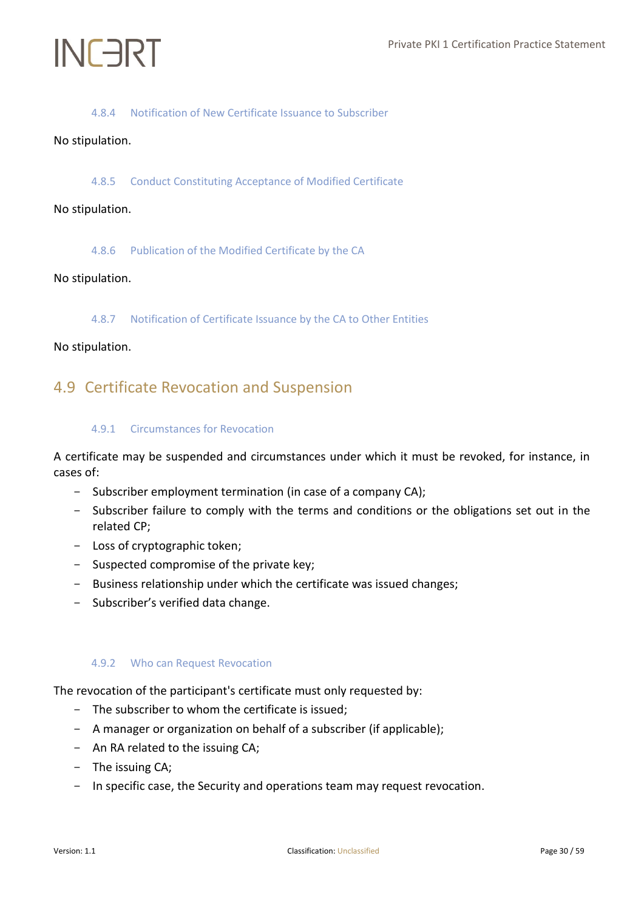# 4.8.4 Notification of New Certificate Issuance to Subscriber

## <span id="page-29-1"></span><span id="page-29-0"></span>No stipulation.

## 4.8.5 Conduct Constituting Acceptance of Modified Certificate

## <span id="page-29-2"></span>No stipulation.

4.8.6 Publication of the Modified Certificate by the CA

### <span id="page-29-3"></span>No stipulation.

4.8.7 Notification of Certificate Issuance by the CA to Other Entities

### <span id="page-29-4"></span>No stipulation.

# <span id="page-29-5"></span>4.9 Certificate Revocation and Suspension

### 4.9.1 Circumstances for Revocation

A certificate may be suspended and circumstances under which it must be revoked, for instance, in cases of:

- Subscriber employment termination (in case of a company CA);
- Subscriber failure to comply with the terms and conditions or the obligations set out in the related CP;
- Loss of cryptographic token;
- Suspected compromise of the private key;
- Business relationship under which the certificate was issued changes;
- <span id="page-29-6"></span>- Subscriber's verified data change.

## 4.9.2 Who can Request Revocation

The revocation of the participant's certificate must only requested by:

- The subscriber to whom the certificate is issued;
- A manager or organization on behalf of a subscriber (if applicable);
- An RA related to the issuing CA;
- The issuing CA;
- In specific case, the Security and operations team may request revocation.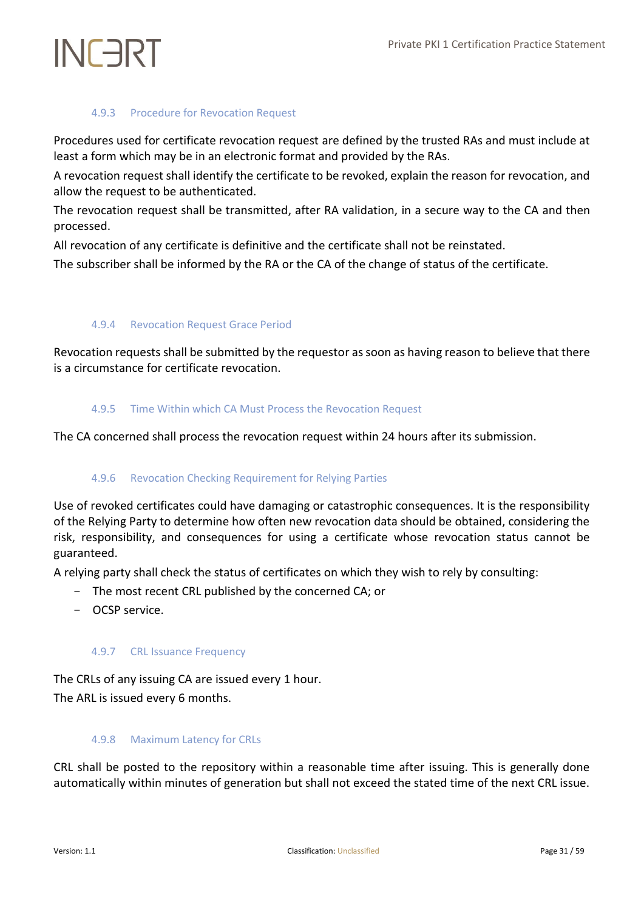# 4.9.3 Procedure for Revocation Request

<span id="page-30-0"></span>Procedures used for certificate revocation request are defined by the trusted RAs and must include at least a form which may be in an electronic format and provided by the RAs.

A revocation request shall identify the certificate to be revoked, explain the reason for revocation, and allow the request to be authenticated.

The revocation request shall be transmitted, after RA validation, in a secure way to the CA and then processed.

All revocation of any certificate is definitive and the certificate shall not be reinstated.

<span id="page-30-1"></span>The subscriber shall be informed by the RA or the CA of the change of status of the certificate.

# 4.9.4 Revocation Request Grace Period

<span id="page-30-2"></span>Revocation requests shall be submitted by the requestor as soon as having reason to believe that there is a circumstance for certificate revocation.

# 4.9.5 Time Within which CA Must Process the Revocation Request

<span id="page-30-3"></span>The CA concerned shall process the revocation request within 24 hours after its submission.

# 4.9.6 Revocation Checking Requirement for Relying Parties

Use of revoked certificates could have damaging or catastrophic consequences. It is the responsibility of the Relying Party to determine how often new revocation data should be obtained, considering the risk, responsibility, and consequences for using a certificate whose revocation status cannot be guaranteed.

A relying party shall check the status of certificates on which they wish to rely by consulting:

- The most recent CRL published by the concerned CA; or
- <span id="page-30-4"></span>- OCSP service.

# 4.9.7 CRL Issuance Frequency

The CRLs of any issuing CA are issued every 1 hour. The ARL is issued every 6 months.

# <span id="page-30-5"></span>4.9.8 Maximum Latency for CRLs

CRL shall be posted to the repository within a reasonable time after issuing. This is generally done automatically within minutes of generation but shall not exceed the stated time of the next CRL issue.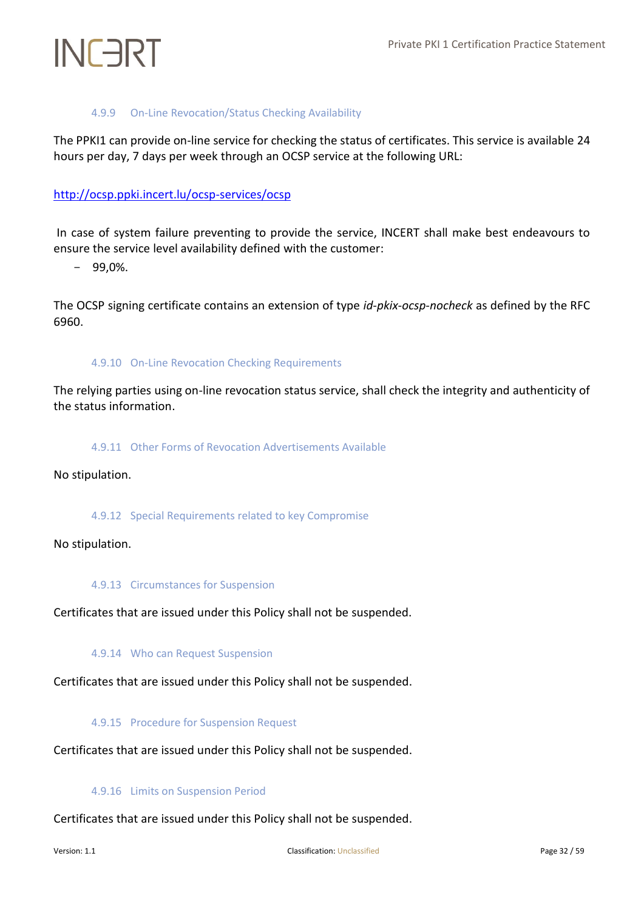# 4.9.9 On-Line Revocation/Status Checking Availability

<span id="page-31-0"></span>The PPKI1 can provide on-line service for checking the status of certificates. This service is available 24 hours per day, 7 days per week through an OCSP service at the following URL:

# <http://ocsp.ppki.incert.lu/>ocsp-services/ocsp

In case of system failure preventing to provide the service, INCERT shall make best endeavours to ensure the service level availability defined with the customer:

- 99,0%.

<span id="page-31-1"></span>The OCSP signing certificate contains an extension of type *id-pkix-ocsp-nocheck* as defined by the RFC 6960.

## 4.9.10 On-Line Revocation Checking Requirements

<span id="page-31-2"></span>The relying parties using on-line revocation status service, shall check the integrity and authenticity of the status information.

## 4.9.11 Other Forms of Revocation Advertisements Available

<span id="page-31-3"></span>No stipulation.

## 4.9.12 Special Requirements related to key Compromise

<span id="page-31-4"></span>No stipulation.

## 4.9.13 Circumstances for Suspension

<span id="page-31-5"></span>Certificates that are issued under this Policy shall not be suspended.

# 4.9.14 Who can Request Suspension

<span id="page-31-6"></span>Certificates that are issued under this Policy shall not be suspended.

4.9.15 Procedure for Suspension Request

<span id="page-31-7"></span>Certificates that are issued under this Policy shall not be suspended.

## 4.9.16 Limits on Suspension Period

Certificates that are issued under this Policy shall not be suspended.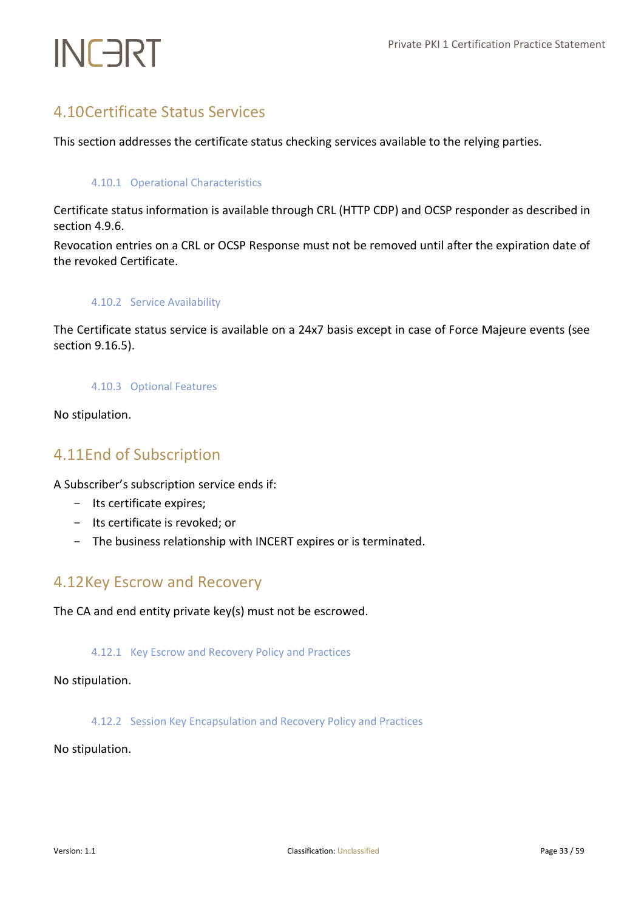# <span id="page-32-0"></span>4.10Certificate Status Services

<span id="page-32-1"></span>This section addresses the certificate status checking services available to the relying parties.

## 4.10.1 Operational Characteristics

Certificate status information is available through CRL (HTTP CDP) and OCSP responder as described in section 4.9.6.

<span id="page-32-2"></span>Revocation entries on a CRL or OCSP Response must not be removed until after the expiration date of the revoked Certificate.

## 4.10.2 Service Availability

<span id="page-32-3"></span>The Certificate status service is available on a 24x7 basis except in case of Force Majeure events (see section 9.16.5).

## 4.10.3 Optional Features

<span id="page-32-4"></span>No stipulation.

# 4.11End of Subscription

A Subscriber's subscription service ends if:

- Its certificate expires;
- Its certificate is revoked; or
- The business relationship with INCERT expires or is terminated.

# <span id="page-32-5"></span>4.12Key Escrow and Recovery

<span id="page-32-6"></span>The CA and end entity private key(s) must not be escrowed.

## 4.12.1 Key Escrow and Recovery Policy and Practices

<span id="page-32-7"></span>No stipulation.

## 4.12.2 Session Key Encapsulation and Recovery Policy and Practices

No stipulation.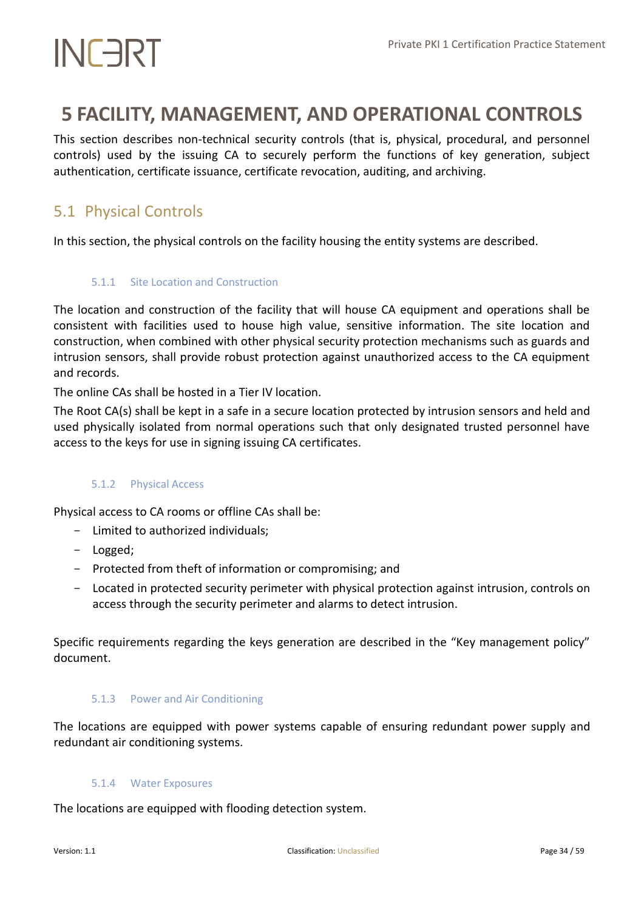# <span id="page-33-0"></span>**5 FACILITY, MANAGEMENT, AND OPERATIONAL CONTROLS**

This section describes non-technical security controls (that is, physical, procedural, and personnel controls) used by the issuing CA to securely perform the functions of key generation, subject authentication, certificate issuance, certificate revocation, auditing, and archiving.

# <span id="page-33-1"></span>5.1 Physical Controls

<span id="page-33-2"></span>In this section, the physical controls on the facility housing the entity systems are described.

## 5.1.1 Site Location and Construction

The location and construction of the facility that will house CA equipment and operations shall be consistent with facilities used to house high value, sensitive information. The site location and construction, when combined with other physical security protection mechanisms such as guards and intrusion sensors, shall provide robust protection against unauthorized access to the CA equipment and records.

The online CAs shall be hosted in a Tier IV location.

The Root CA(s) shall be kept in a safe in a secure location protected by intrusion sensors and held and used physically isolated from normal operations such that only designated trusted personnel have access to the keys for use in signing issuing CA certificates.

## <span id="page-33-3"></span>5.1.2 Physical Access

Physical access to CA rooms or offline CAs shall be:

- Limited to authorized individuals;
- Logged;
- Protected from theft of information or compromising; and
- Located in protected security perimeter with physical protection against intrusion, controls on access through the security perimeter and alarms to detect intrusion.

<span id="page-33-4"></span>Specific requirements regarding the keys generation are described in the "Key management policy" document.

## 5.1.3 Power and Air Conditioning

<span id="page-33-5"></span>The locations are equipped with power systems capable of ensuring redundant power supply and redundant air conditioning systems.

### 5.1.4 Water Exposures

The locations are equipped with flooding detection system.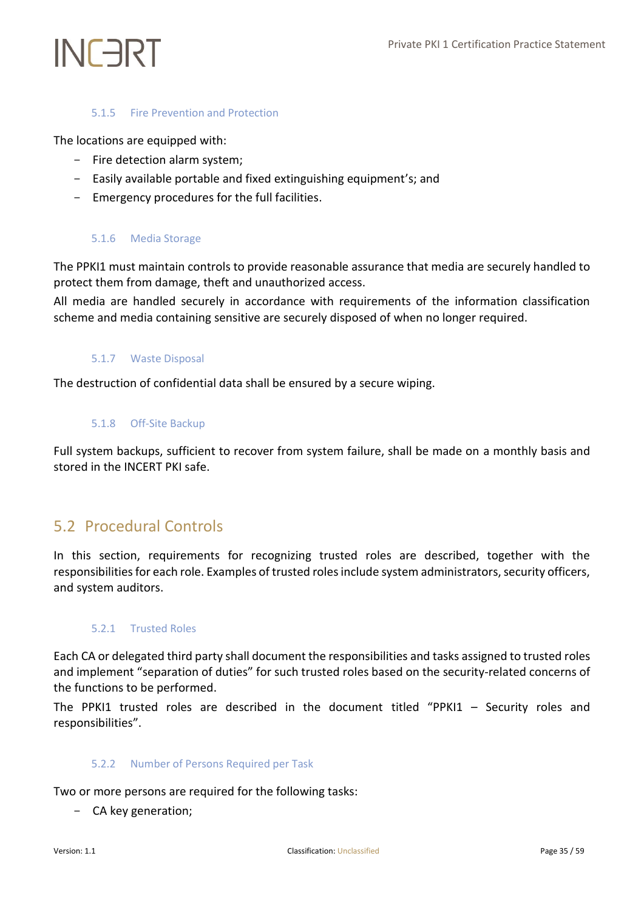## 5.1.5 Fire Prevention and Protection

<span id="page-34-0"></span>The locations are equipped with:

- Fire detection alarm system;
- Easily available portable and fixed extinguishing equipment's; and
- <span id="page-34-1"></span>- Emergency procedures for the full facilities.

## 5.1.6 Media Storage

The PPKI1 must maintain controls to provide reasonable assurance that media are securely handled to protect them from damage, theft and unauthorized access.

<span id="page-34-2"></span>All media are handled securely in accordance with requirements of the information classification scheme and media containing sensitive are securely disposed of when no longer required.

## 5.1.7 Waste Disposal

<span id="page-34-3"></span>The destruction of confidential data shall be ensured by a secure wiping.

### 5.1.8 Off-Site Backup

Full system backups, sufficient to recover from system failure, shall be made on a monthly basis and stored in the INCERT PKI safe.

# <span id="page-34-4"></span>5.2 Procedural Controls

In this section, requirements for recognizing trusted roles are described, together with the responsibilities for each role. Examples of trusted roles include system administrators, security officers, and system auditors.

## <span id="page-34-5"></span>5.2.1 Trusted Roles

Each CA or delegated third party shall document the responsibilities and tasks assigned to trusted roles and implement "separation of duties" for such trusted roles based on the security-related concerns of the functions to be performed.

<span id="page-34-6"></span>The PPKI1 trusted roles are described in the document titled "PPKI1 – Security roles and responsibilities".

### 5.2.2 Number of Persons Required per Task

Two or more persons are required for the following tasks:

- CA key generation;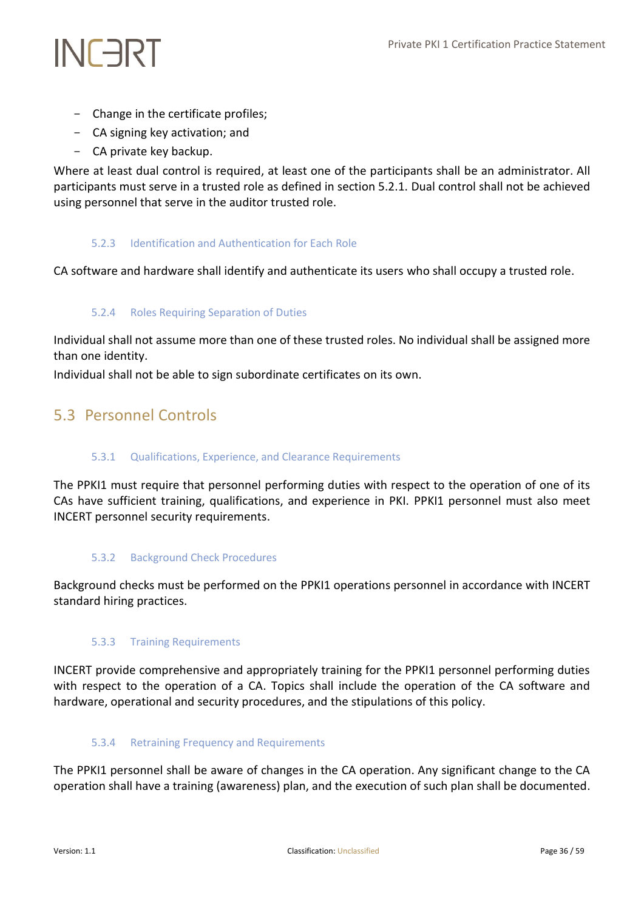- Change in the certificate profiles;
- CA signing key activation; and
- CA private key backup.

Where at least dual control is required, at least one of the participants shall be an administrator. All participants must serve in a trusted role as defined in section 5.2.1. Dual control shall not be achieved using personnel that serve in the auditor trusted role.

# <span id="page-35-0"></span>5.2.3 Identification and Authentication for Each Role

<span id="page-35-1"></span>CA software and hardware shall identify and authenticate its users who shall occupy a trusted role.

# 5.2.4 Roles Requiring Separation of Duties

Individual shall not assume more than one of these trusted roles. No individual shall be assigned more than one identity.

<span id="page-35-2"></span>Individual shall not be able to sign subordinate certificates on its own.

# <span id="page-35-3"></span>5.3 Personnel Controls

# 5.3.1 Qualifications, Experience, and Clearance Requirements

The PPKI1 must require that personnel performing duties with respect to the operation of one of its CAs have sufficient training, qualifications, and experience in PKI. PPKI1 personnel must also meet INCERT personnel security requirements.

# <span id="page-35-4"></span>5.3.2 Background Check Procedures

<span id="page-35-5"></span>Background checks must be performed on the PPKI1 operations personnel in accordance with INCERT standard hiring practices.

# 5.3.3 Training Requirements

INCERT provide comprehensive and appropriately training for the PPKI1 personnel performing duties with respect to the operation of a CA. Topics shall include the operation of the CA software and hardware, operational and security procedures, and the stipulations of this policy.

# <span id="page-35-6"></span>5.3.4 Retraining Frequency and Requirements

The PPKI1 personnel shall be aware of changes in the CA operation. Any significant change to the CA operation shall have a training (awareness) plan, and the execution of such plan shall be documented.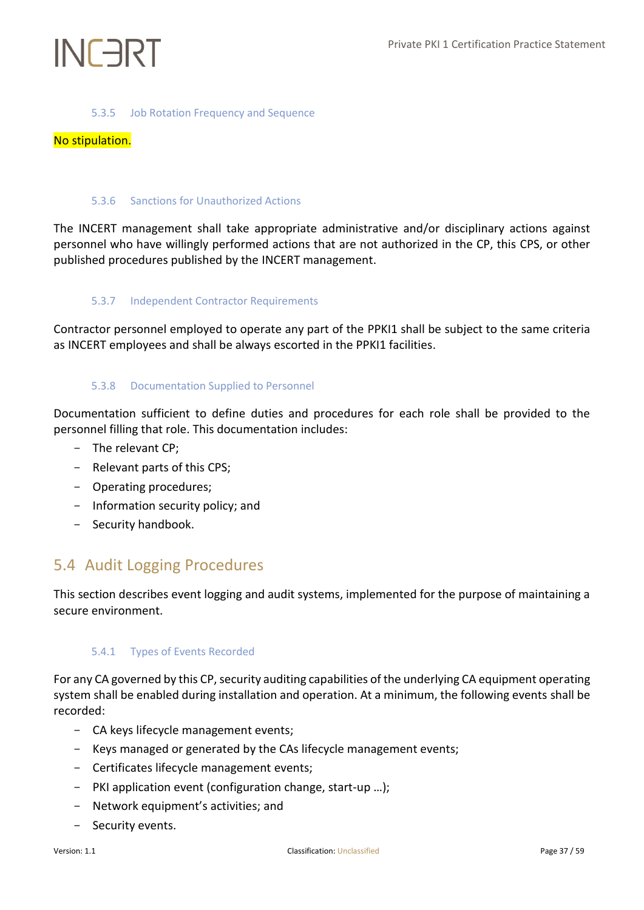## 5.3.5 Job Rotation Frequency and Sequence

## <span id="page-36-1"></span><span id="page-36-0"></span>No stipulation.

## 5.3.6 Sanctions for Unauthorized Actions

The INCERT management shall take appropriate administrative and/or disciplinary actions against personnel who have willingly performed actions that are not authorized in the CP, this CPS, or other published procedures published by the INCERT management.

## <span id="page-36-2"></span>5.3.7 Independent Contractor Requirements

<span id="page-36-3"></span>Contractor personnel employed to operate any part of the PPKI1 shall be subject to the same criteria as INCERT employees and shall be always escorted in the PPKI1 facilities.

## 5.3.8 Documentation Supplied to Personnel

Documentation sufficient to define duties and procedures for each role shall be provided to the personnel filling that role. This documentation includes:

- The relevant CP;
- Relevant parts of this CPS;
- Operating procedures;
- Information security policy; and
- Security handbook.

# <span id="page-36-4"></span>5.4 Audit Logging Procedures

<span id="page-36-5"></span>This section describes event logging and audit systems, implemented for the purpose of maintaining a secure environment.

## 5.4.1 Types of Events Recorded

For any CA governed by this CP, security auditing capabilities of the underlying CA equipment operating system shall be enabled during installation and operation. At a minimum, the following events shall be recorded:

- CA keys lifecycle management events;
- Keys managed or generated by the CAs lifecycle management events;
- Certificates lifecycle management events;
- PKI application event (configuration change, start-up …);
- Network equipment's activities; and
- Security events.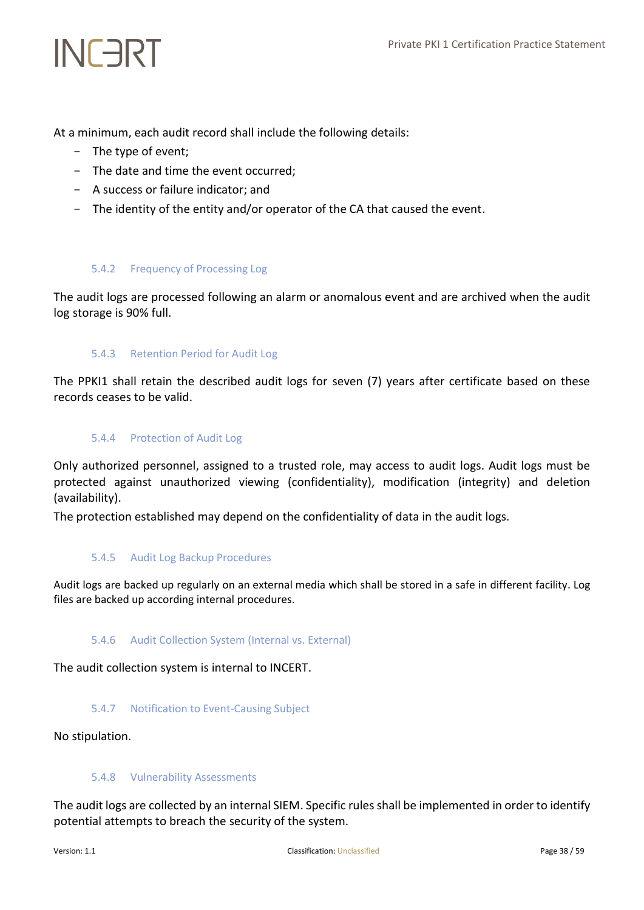At a minimum, each audit record shall include the following details:

- The type of event;

INFART

- The date and time the event occurred;
- A success or failure indicator; and
- <span id="page-37-0"></span>- The identity of the entity and/or operator of the CA that caused the event.

### 5.4.2 Frequency of Processing Log

<span id="page-37-1"></span>The audit logs are processed following an alarm or anomalous event and are archived when the audit log storage is 90% full.

### 5.4.3 Retention Period for Audit Log

<span id="page-37-2"></span>The PPKI1 shall retain the described audit logs for seven (7) years after certificate based on these records ceases to be valid.

### 5.4.4 Protection of Audit Log

Only authorized personnel, assigned to a trusted role, may access to audit logs. Audit logs must be protected against unauthorized viewing (confidentiality), modification (integrity) and deletion (availability).

<span id="page-37-3"></span>The protection established may depend on the confidentiality of data in the audit logs.

### 5.4.5 Audit Log Backup Procedures

<span id="page-37-4"></span>Audit logs are backed up regularly on an external media which shall be stored in a safe in different facility. Log files are backed up according internal procedures.

### 5.4.6 Audit Collection System (Internal vs. External)

<span id="page-37-5"></span>The audit collection system is internal to INCERT.

### 5.4.7 Notification to Event-Causing Subject

<span id="page-37-6"></span>No stipulation.

### 5.4.8 Vulnerability Assessments

The audit logs are collected by an internal SIEM. Specific rules shall be implemented in order to identify potential attempts to breach the security of the system.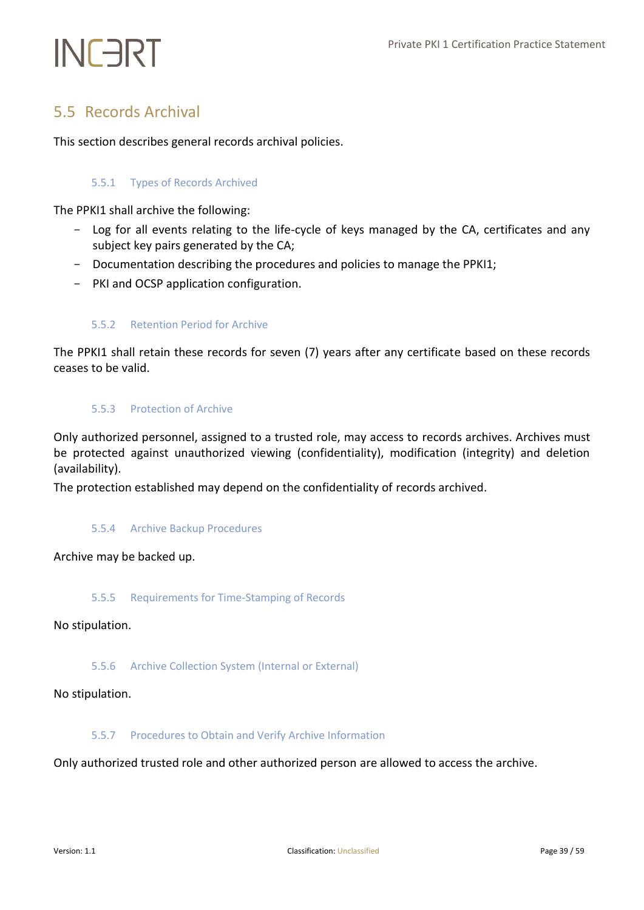# <span id="page-38-0"></span>5.5 Records Archival

<span id="page-38-1"></span>This section describes general records archival policies.

# 5.5.1 Types of Records Archived

The PPKI1 shall archive the following:

- Log for all events relating to the life-cycle of keys managed by the CA, certificates and any subject key pairs generated by the CA;
- Documentation describing the procedures and policies to manage the PPKI1;
- <span id="page-38-2"></span>- PKI and OCSP application configuration.

# 5.5.2 Retention Period for Archive

<span id="page-38-3"></span>The PPKI1 shall retain these records for seven (7) years after any certificate based on these records ceases to be valid.

## 5.5.3 Protection of Archive

Only authorized personnel, assigned to a trusted role, may access to records archives. Archives must be protected against unauthorized viewing (confidentiality), modification (integrity) and deletion (availability).

<span id="page-38-4"></span>The protection established may depend on the confidentiality of records archived.

## 5.5.4 Archive Backup Procedures

<span id="page-38-5"></span>Archive may be backed up.

## 5.5.5 Requirements for Time-Stamping of Records

<span id="page-38-6"></span>No stipulation.

## 5.5.6 Archive Collection System (Internal or External)

## <span id="page-38-7"></span>No stipulation.

## 5.5.7 Procedures to Obtain and Verify Archive Information

Only authorized trusted role and other authorized person are allowed to access the archive.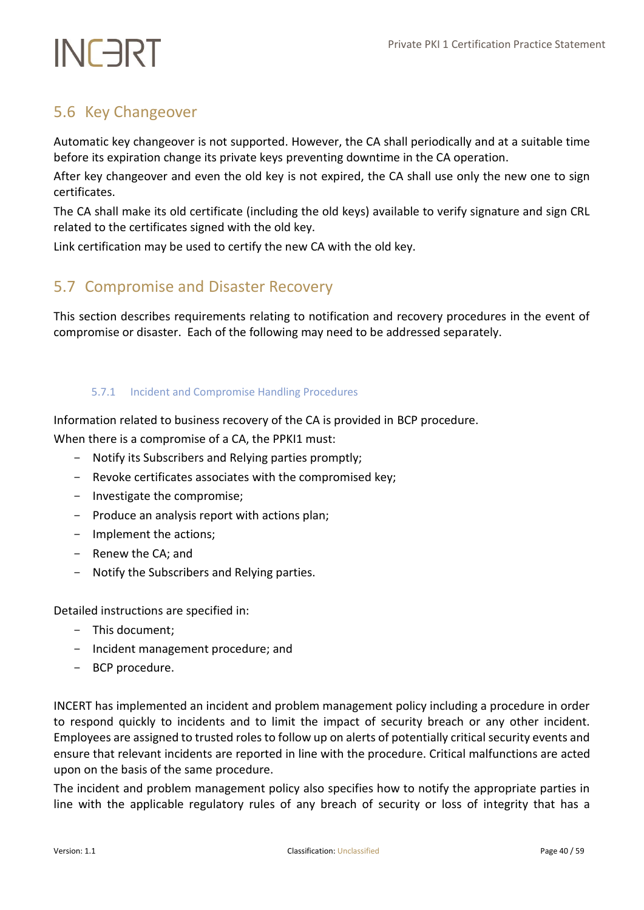# <span id="page-39-0"></span>5.6 Key Changeover

Automatic key changeover is not supported. However, the CA shall periodically and at a suitable time before its expiration change its private keys preventing downtime in the CA operation.

After key changeover and even the old key is not expired, the CA shall use only the new one to sign certificates.

The CA shall make its old certificate (including the old keys) available to verify signature and sign CRL related to the certificates signed with the old key.

<span id="page-39-1"></span>Link certification may be used to certify the new CA with the old key.

# 5.7 Compromise and Disaster Recovery

This section describes requirements relating to notification and recovery procedures in the event of compromise or disaster. Each of the following may need to be addressed separately.

# <span id="page-39-2"></span>5.7.1 Incident and Compromise Handling Procedures

Information related to business recovery of the CA is provided in BCP procedure.

When there is a compromise of a CA, the PPKI1 must:

- Notify its Subscribers and Relying parties promptly;
- Revoke certificates associates with the compromised key;
- Investigate the compromise;
- Produce an analysis report with actions plan;
- Implement the actions;
- Renew the CA; and
- Notify the Subscribers and Relying parties.

Detailed instructions are specified in:

- This document;
- Incident management procedure; and
- BCP procedure.

INCERT has implemented an incident and problem management policy including a procedure in order to respond quickly to incidents and to limit the impact of security breach or any other incident. Employees are assigned to trusted roles to follow up on alerts of potentially critical security events and ensure that relevant incidents are reported in line with the procedure. Critical malfunctions are acted upon on the basis of the same procedure.

The incident and problem management policy also specifies how to notify the appropriate parties in line with the applicable regulatory rules of any breach of security or loss of integrity that has a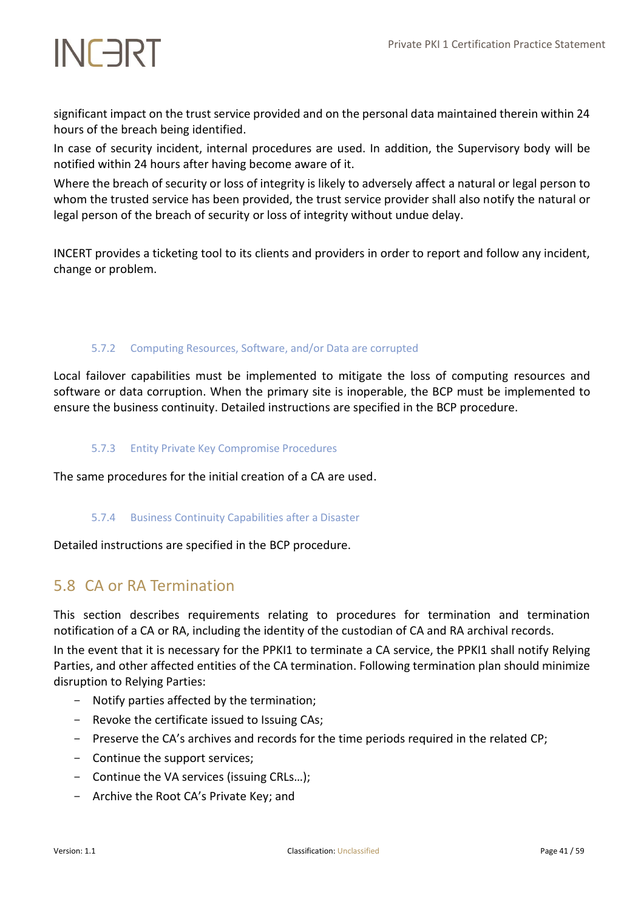significant impact on the trust service provided and on the personal data maintained therein within 24 hours of the breach being identified.

In case of security incident, internal procedures are used. In addition, the Supervisory body will be notified within 24 hours after having become aware of it.

Where the breach of security or loss of integrity is likely to adversely affect a natural or legal person to whom the trusted service has been provided, the trust service provider shall also notify the natural or legal person of the breach of security or loss of integrity without undue delay.

INCERT provides a ticketing tool to its clients and providers in order to report and follow any incident, change or problem.

# <span id="page-40-0"></span>5.7.2 Computing Resources, Software, and/or Data are corrupted

Local failover capabilities must be implemented to mitigate the loss of computing resources and software or data corruption. When the primary site is inoperable, the BCP must be implemented to ensure the business continuity. Detailed instructions are specified in the BCP procedure.

## <span id="page-40-1"></span>5.7.3 Entity Private Key Compromise Procedures

<span id="page-40-2"></span>The same procedures for the initial creation of a CA are used.

## 5.7.4 Business Continuity Capabilities after a Disaster

<span id="page-40-3"></span>Detailed instructions are specified in the BCP procedure.

# 5.8 CA or RA Termination

This section describes requirements relating to procedures for termination and termination notification of a CA or RA, including the identity of the custodian of CA and RA archival records.

In the event that it is necessary for the PPKI1 to terminate a CA service, the PPKI1 shall notify Relying Parties, and other affected entities of the CA termination. Following termination plan should minimize disruption to Relying Parties:

- Notify parties affected by the termination;
- Revoke the certificate issued to Issuing CAs;
- Preserve the CA's archives and records for the time periods required in the related CP;
- Continue the support services;
- Continue the VA services (issuing CRLs…);
- Archive the Root CA's Private Key; and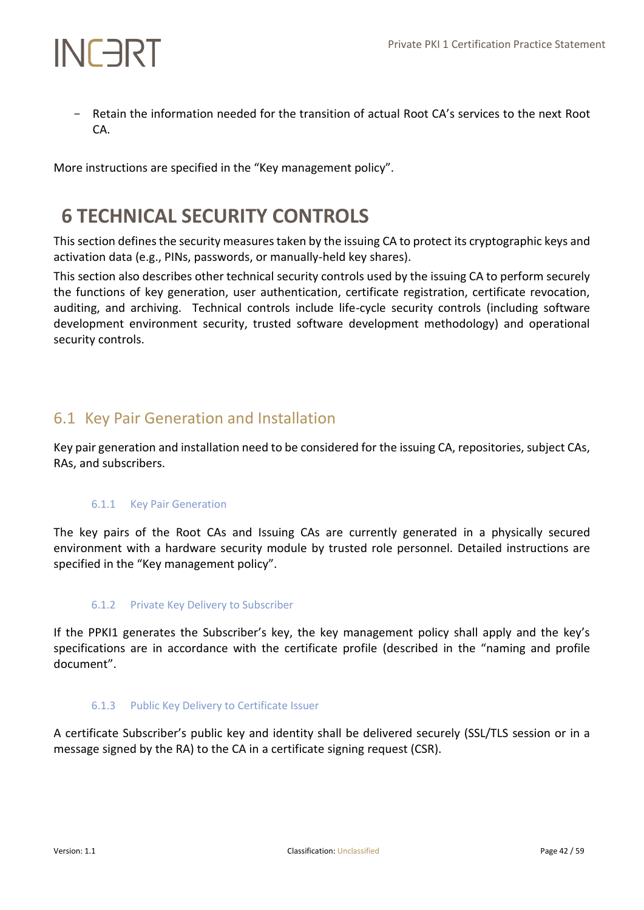- Retain the information needed for the transition of actual Root CA's services to the next Root CA.

More instructions are specified in the "Key management policy".

# <span id="page-41-0"></span>**6 TECHNICAL SECURITY CONTROLS**

This section defines the security measures taken by the issuing CA to protect its cryptographic keys and activation data (e.g., PINs, passwords, or manually-held key shares).

This section also describes other technical security controls used by the issuing CA to perform securely the functions of key generation, user authentication, certificate registration, certificate revocation, auditing, and archiving. Technical controls include life-cycle security controls (including software development environment security, trusted software development methodology) and operational security controls.

# <span id="page-41-1"></span>6.1 Key Pair Generation and Installation

<span id="page-41-2"></span>Key pair generation and installation need to be considered for the issuing CA, repositories, subject CAs, RAs, and subscribers.

# 6.1.1 Key Pair Generation

The key pairs of the Root CAs and Issuing CAs are currently generated in a physically secured environment with a hardware security module by trusted role personnel. Detailed instructions are specified in the "Key management policy".

# <span id="page-41-3"></span>6.1.2 Private Key Delivery to Subscriber

If the PPKI1 generates the Subscriber's key, the key management policy shall apply and the key's specifications are in accordance with the certificate profile (described in the "naming and profile document".

## <span id="page-41-4"></span>6.1.3 Public Key Delivery to Certificate Issuer

A certificate Subscriber's public key and identity shall be delivered securely (SSL/TLS session or in a message signed by the RA) to the CA in a certificate signing request (CSR).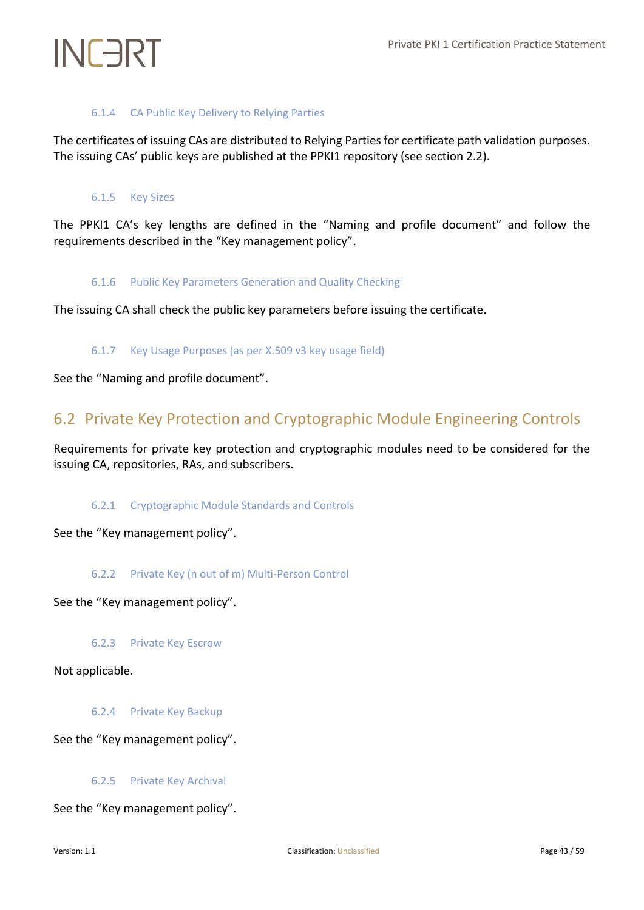# 6.1.4 CA Public Key Delivery to Relying Parties

<span id="page-42-1"></span><span id="page-42-0"></span>The certificates of issuing CAs are distributed to Relying Parties for certificate path validation purposes. The issuing CAs' public keys are published at the PPKI1 repository (see section 2.2).

## 6.1.5 Key Sizes

<span id="page-42-2"></span>The PPKI1 CA's key lengths are defined in the "Naming and profile document" and follow the requirements described in the "Key management policy".

## 6.1.6 Public Key Parameters Generation and Quality Checking

<span id="page-42-3"></span>The issuing CA shall check the public key parameters before issuing the certificate.

## 6.1.7 Key Usage Purposes (as per X.509 v3 key usage field)

<span id="page-42-4"></span>See the "Naming and profile document".

# 6.2 Private Key Protection and Cryptographic Module Engineering Controls

<span id="page-42-5"></span>Requirements for private key protection and cryptographic modules need to be considered for the issuing CA, repositories, RAs, and subscribers.

## 6.2.1 Cryptographic Module Standards and Controls

<span id="page-42-6"></span>See the "Key management policy".

## 6.2.2 Private Key (n out of m) Multi-Person Control

<span id="page-42-7"></span>See the "Key management policy".

6.2.3 Private Key Escrow

<span id="page-42-8"></span>Not applicable.

6.2.4 Private Key Backup

<span id="page-42-9"></span>See the "Key management policy".

## 6.2.5 Private Key Archival

See the "Key management policy".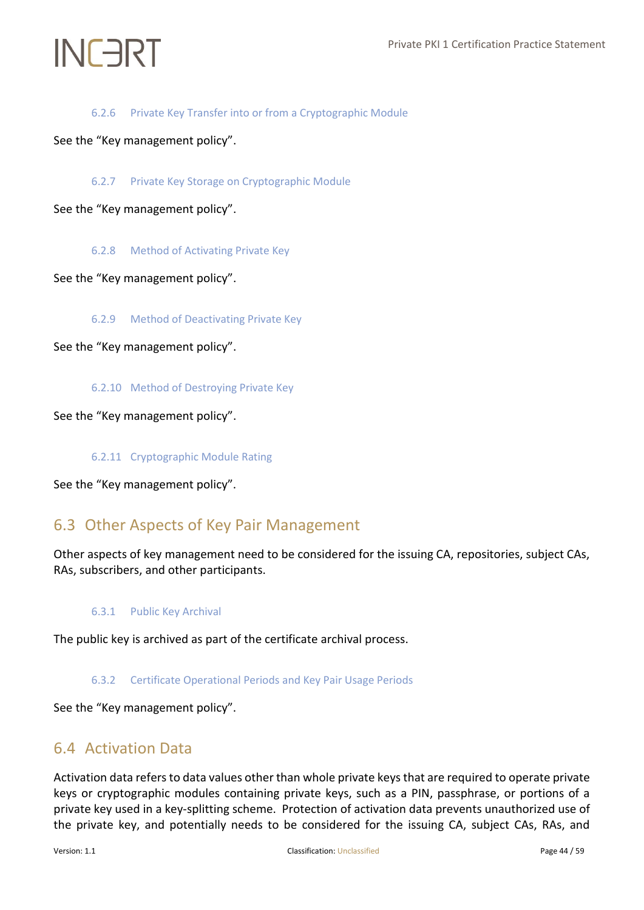# 6.2.6 Private Key Transfer into or from a Cryptographic Module

<span id="page-43-1"></span><span id="page-43-0"></span>See the "Key management policy".

6.2.7 Private Key Storage on Cryptographic Module

<span id="page-43-2"></span>See the "Key management policy".

6.2.8 Method of Activating Private Key

<span id="page-43-3"></span>See the "Key management policy".

6.2.9 Method of Deactivating Private Key

<span id="page-43-4"></span>See the "Key management policy".

6.2.10 Method of Destroying Private Key

<span id="page-43-5"></span>See the "Key management policy".

6.2.11 Cryptographic Module Rating

<span id="page-43-6"></span>See the "Key management policy".

# 6.3 Other Aspects of Key Pair Management

<span id="page-43-7"></span>Other aspects of key management need to be considered for the issuing CA, repositories, subject CAs, RAs, subscribers, and other participants.

## 6.3.1 Public Key Archival

<span id="page-43-8"></span>The public key is archived as part of the certificate archival process.

## 6.3.2 Certificate Operational Periods and Key Pair Usage Periods

<span id="page-43-9"></span>See the "Key management policy".

# 6.4 Activation Data

Activation data refers to data values other than whole private keys that are required to operate private keys or cryptographic modules containing private keys, such as a PIN, passphrase, or portions of a private key used in a key-splitting scheme. Protection of activation data prevents unauthorized use of the private key, and potentially needs to be considered for the issuing CA, subject CAs, RAs, and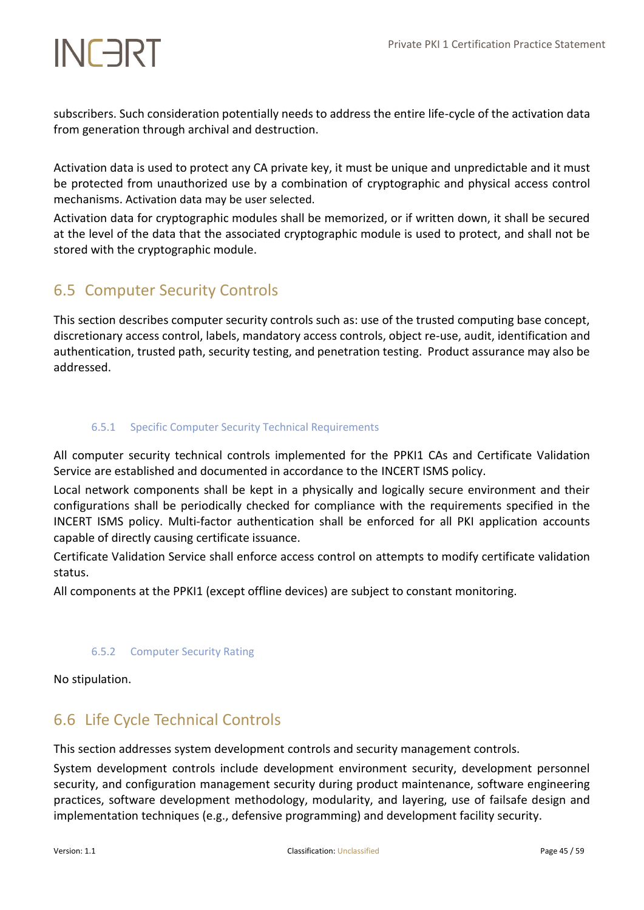subscribers. Such consideration potentially needs to address the entire life-cycle of the activation data from generation through archival and destruction.

Activation data is used to protect any CA private key, it must be unique and unpredictable and it must be protected from unauthorized use by a combination of cryptographic and physical access control mechanisms. Activation data may be user selected.

Activation data for cryptographic modules shall be memorized, or if written down, it shall be secured at the level of the data that the associated cryptographic module is used to protect, and shall not be stored with the cryptographic module.

# <span id="page-44-0"></span>6.5 Computer Security Controls

This section describes computer security controls such as: use of the trusted computing base concept, discretionary access control, labels, mandatory access controls, object re-use, audit, identification and authentication, trusted path, security testing, and penetration testing. Product assurance may also be addressed.

# <span id="page-44-1"></span>6.5.1 Specific Computer Security Technical Requirements

All computer security technical controls implemented for the PPKI1 CAs and Certificate Validation Service are established and documented in accordance to the INCERT ISMS policy.

Local network components shall be kept in a physically and logically secure environment and their configurations shall be periodically checked for compliance with the requirements specified in the INCERT ISMS policy. Multi-factor authentication shall be enforced for all PKI application accounts capable of directly causing certificate issuance.

Certificate Validation Service shall enforce access control on attempts to modify certificate validation status.

<span id="page-44-2"></span>All components at the PPKI1 (except offline devices) are subject to constant monitoring.

## 6.5.2 Computer Security Rating

<span id="page-44-3"></span>No stipulation.

# 6.6 Life Cycle Technical Controls

This section addresses system development controls and security management controls.

System development controls include development environment security, development personnel security, and configuration management security during product maintenance, software engineering practices, software development methodology, modularity, and layering, use of failsafe design and implementation techniques (e.g., defensive programming) and development facility security.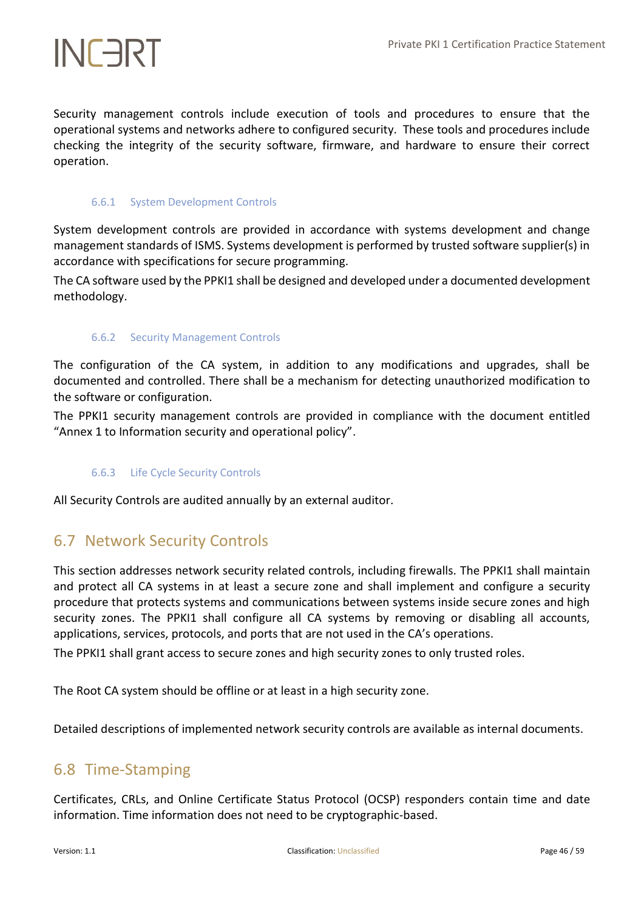Security management controls include execution of tools and procedures to ensure that the operational systems and networks adhere to configured security. These tools and procedures include checking the integrity of the security software, firmware, and hardware to ensure their correct operation.

## <span id="page-45-0"></span>6.6.1 System Development Controls

System development controls are provided in accordance with systems development and change management standards of ISMS. Systems development is performed by trusted software supplier(s) in accordance with specifications for secure programming.

<span id="page-45-1"></span>The CA software used by the PPKI1 shall be designed and developed under a documented development methodology.

## 6.6.2 Security Management Controls

The configuration of the CA system, in addition to any modifications and upgrades, shall be documented and controlled. There shall be a mechanism for detecting unauthorized modification to the software or configuration.

<span id="page-45-2"></span>The PPKI1 security management controls are provided in compliance with the document entitled "Annex 1 to Information security and operational policy".

## 6.6.3 Life Cycle Security Controls

<span id="page-45-3"></span>All Security Controls are audited annually by an external auditor.

# 6.7 Network Security Controls

This section addresses network security related controls, including firewalls. The PPKI1 shall maintain and protect all CA systems in at least a secure zone and shall implement and configure a security procedure that protects systems and communications between systems inside secure zones and high security zones. The PPKI1 shall configure all CA systems by removing or disabling all accounts, applications, services, protocols, and ports that are not used in the CA's operations.

The PPKI1 shall grant access to secure zones and high security zones to only trusted roles.

The Root CA system should be offline or at least in a high security zone.

<span id="page-45-4"></span>Detailed descriptions of implemented network security controls are available as internal documents.

# 6.8 Time‐Stamping

Certificates, CRLs, and Online Certificate Status Protocol (OCSP) responders contain time and date information. Time information does not need to be cryptographic-based.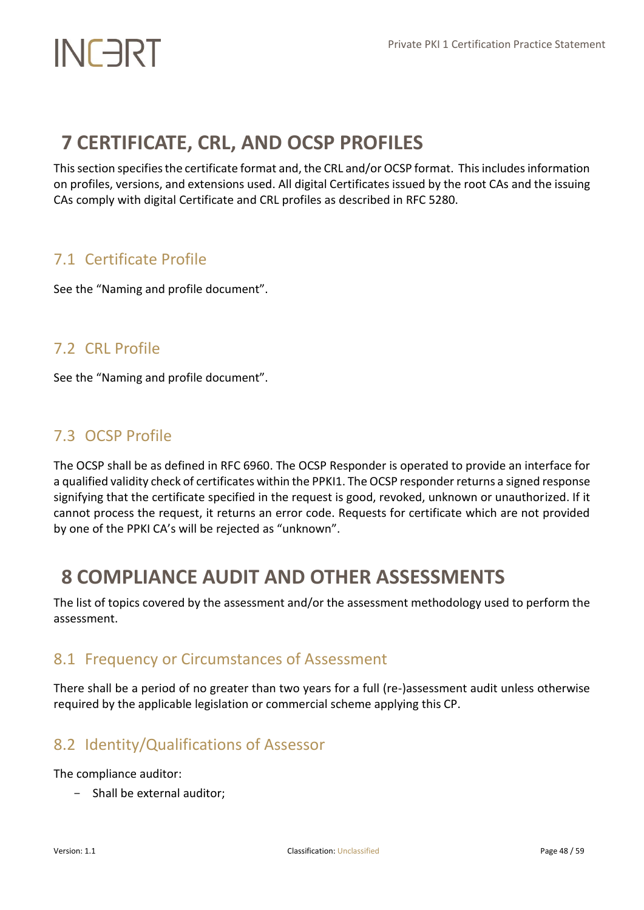# <span id="page-47-0"></span>**7 CERTIFICATE, CRL, AND OCSP PROFILES**

This section specifiesthe certificate format and, the CRL and/or OCSP format. This includes information on profiles, versions, and extensions used. All digital Certificates issued by the root CAs and the issuing CAs comply with digital Certificate and CRL profiles as described in RFC 5280.

# <span id="page-47-1"></span>7.1 Certificate Profile

See the "Naming and profile document".

# <span id="page-47-2"></span>7.2 CRL Profile

See the "Naming and profile document".

# <span id="page-47-3"></span>7.3 OCSP Profile

The OCSP shall be as defined in RFC 6960. The OCSP Responder is operated to provide an interface for a qualified validity check of certificates within the PPKI1. The OCSP responder returns a signed response signifying that the certificate specified in the request is good, revoked, unknown or unauthorized. If it cannot process the request, it returns an error code. Requests for certificate which are not provided by one of the PPKI CA's will be rejected as "unknown".

# <span id="page-47-4"></span>**8 COMPLIANCE AUDIT AND OTHER ASSESSMENTS**

The list of topics covered by the assessment and/or the assessment methodology used to perform the assessment.

# <span id="page-47-5"></span>8.1 Frequency or Circumstances of Assessment

There shall be a period of no greater than two years for a full (re-)assessment audit unless otherwise required by the applicable legislation or commercial scheme applying this CP.

# <span id="page-47-6"></span>8.2 Identity/Qualifications of Assessor

The compliance auditor:

- Shall be external auditor;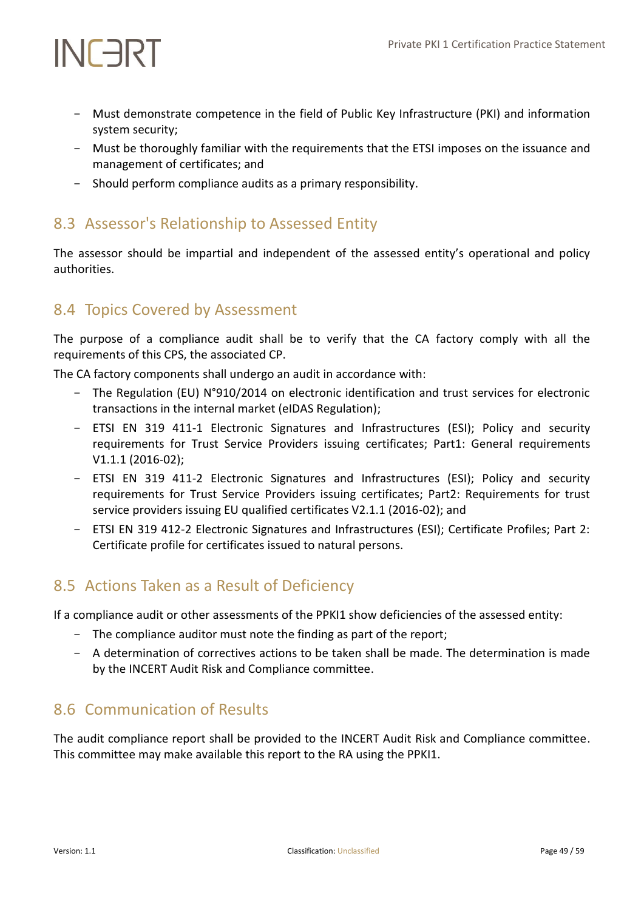- Must demonstrate competence in the field of Public Key Infrastructure (PKI) and information system security;
- Must be thoroughly familiar with the requirements that the ETSI imposes on the issuance and management of certificates; and
- Should perform compliance audits as a primary responsibility.

# <span id="page-48-0"></span>8.3 Assessor's Relationship to Assessed Entity

The assessor should be impartial and independent of the assessed entity's operational and policy authorities.

# <span id="page-48-1"></span>8.4 Topics Covered by Assessment

The purpose of a compliance audit shall be to verify that the CA factory comply with all the requirements of this CPS, the associated CP.

The CA factory components shall undergo an audit in accordance with:

- The Regulation (EU) N°910/2014 on electronic identification and trust services for electronic transactions in the internal market (eIDAS Regulation);
- ETSI EN 319 411-1 Electronic Signatures and Infrastructures (ESI); Policy and security requirements for Trust Service Providers issuing certificates; Part1: General requirements V1.1.1 (2016-02);
- ETSI EN 319 411-2 Electronic Signatures and Infrastructures (ESI); Policy and security requirements for Trust Service Providers issuing certificates; Part2: Requirements for trust service providers issuing EU qualified certificates V2.1.1 (2016-02); and
- ETSI EN 319 412-2 Electronic Signatures and Infrastructures (ESI); Certificate Profiles; Part 2: Certificate profile for certificates issued to natural persons.

# <span id="page-48-2"></span>8.5 Actions Taken as a Result of Deficiency

If a compliance audit or other assessments of the PPKI1 show deficiencies of the assessed entity:

- The compliance auditor must note the finding as part of the report;
- A determination of correctives actions to be taken shall be made. The determination is made by the INCERT Audit Risk and Compliance committee.

# <span id="page-48-3"></span>8.6 Communication of Results

The audit compliance report shall be provided to the INCERT Audit Risk and Compliance committee. This committee may make available this report to the RA using the PPKI1.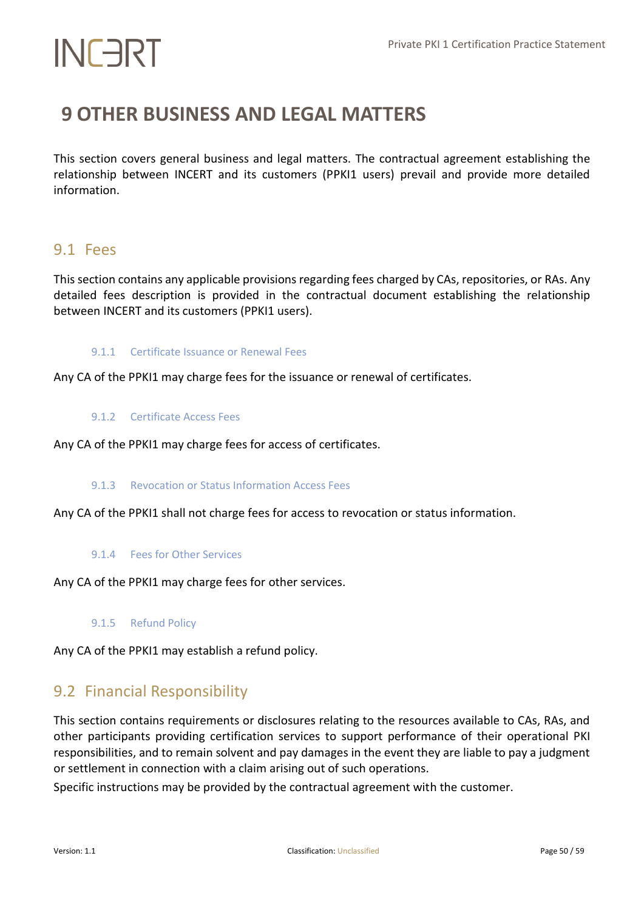# <span id="page-49-0"></span>**9 OTHER BUSINESS AND LEGAL MATTERS**

This section covers general business and legal matters. The contractual agreement establishing the relationship between INCERT and its customers (PPKI1 users) prevail and provide more detailed information.

# <span id="page-49-1"></span>9.1 Fees

This section contains any applicable provisions regarding fees charged by CAs, repositories, or RAs. Any detailed fees description is provided in the contractual document establishing the relationship between INCERT and its customers (PPKI1 users).

## <span id="page-49-2"></span>9.1.1 Certificate Issuance or Renewal Fees

<span id="page-49-3"></span>Any CA of the PPKI1 may charge fees for the issuance or renewal of certificates.

## 9.1.2 Certificate Access Fees

<span id="page-49-4"></span>Any CA of the PPKI1 may charge fees for access of certificates.

## 9.1.3 Revocation or Status Information Access Fees

<span id="page-49-5"></span>Any CA of the PPKI1 shall not charge fees for access to revocation or status information.

## 9.1.4 Fees for Other Services

<span id="page-49-6"></span>Any CA of the PPKI1 may charge fees for other services.

9.1.5 Refund Policy

<span id="page-49-7"></span>Any CA of the PPKI1 may establish a refund policy.

# 9.2 Financial Responsibility

This section contains requirements or disclosures relating to the resources available to CAs, RAs, and other participants providing certification services to support performance of their operational PKI responsibilities, and to remain solvent and pay damages in the event they are liable to pay a judgment or settlement in connection with a claim arising out of such operations.

Specific instructions may be provided by the contractual agreement with the customer.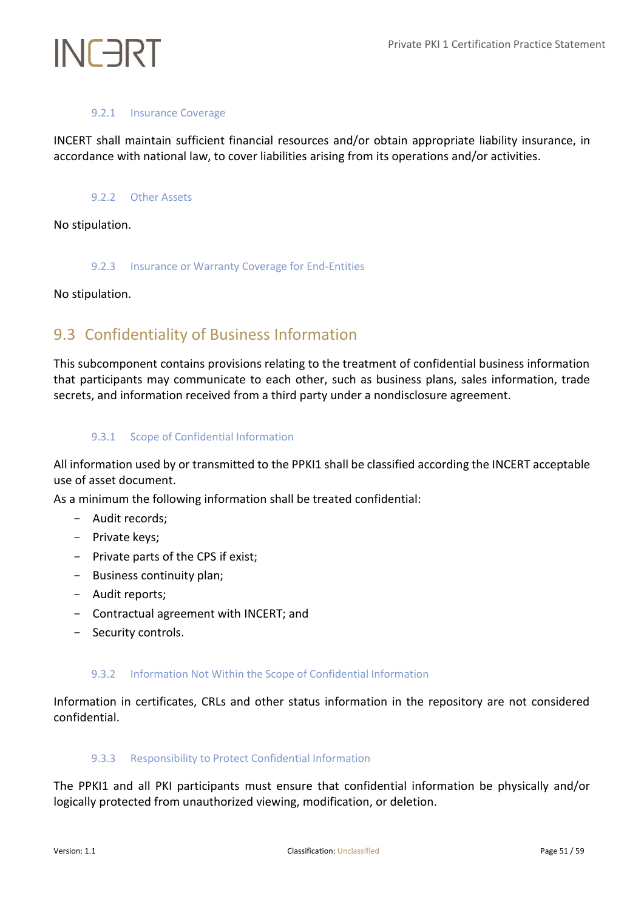# 9.2.1 Insurance Coverage

<span id="page-50-1"></span><span id="page-50-0"></span>INCERT shall maintain sufficient financial resources and/or obtain appropriate liability insurance, in accordance with national law, to cover liabilities arising from its operations and/or activities.

# 9.2.2 Other Assets

<span id="page-50-2"></span>No stipulation.

## 9.2.3 Insurance or Warranty Coverage for End-Entities

<span id="page-50-3"></span>No stipulation.

# 9.3 Confidentiality of Business Information

This subcomponent contains provisions relating to the treatment of confidential business information that participants may communicate to each other, such as business plans, sales information, trade secrets, and information received from a third party under a nondisclosure agreement.

# <span id="page-50-4"></span>9.3.1 Scope of Confidential Information

All information used by or transmitted to the PPKI1 shall be classified according the INCERT acceptable use of asset document.

As a minimum the following information shall be treated confidential:

- Audit records;
- Private keys;
- Private parts of the CPS if exist;
- Business continuity plan;
- Audit reports;
- Contractual agreement with INCERT; and
- <span id="page-50-5"></span>Security controls.

# 9.3.2 Information Not Within the Scope of Confidential Information

<span id="page-50-6"></span>Information in certificates, CRLs and other status information in the repository are not considered confidential.

## 9.3.3 Responsibility to Protect Confidential Information

The PPKI1 and all PKI participants must ensure that confidential information be physically and/or logically protected from unauthorized viewing, modification, or deletion.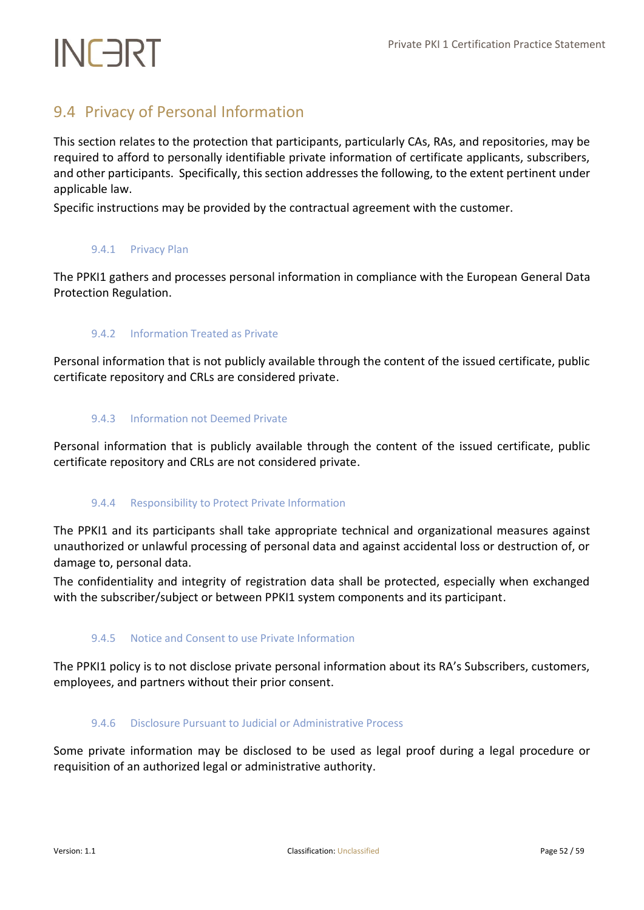# <span id="page-51-0"></span>9.4 Privacy of Personal Information

This section relates to the protection that participants, particularly CAs, RAs, and repositories, may be required to afford to personally identifiable private information of certificate applicants, subscribers, and other participants. Specifically, this section addresses the following, to the extent pertinent under applicable law.

<span id="page-51-1"></span>Specific instructions may be provided by the contractual agreement with the customer.

## 9.4.1 Privacy Plan

<span id="page-51-2"></span>The PPKI1 gathers and processes personal information in compliance with the European General Data Protection Regulation.

## 9.4.2 Information Treated as Private

<span id="page-51-3"></span>Personal information that is not publicly available through the content of the issued certificate, public certificate repository and CRLs are considered private.

## 9.4.3 Information not Deemed Private

<span id="page-51-4"></span>Personal information that is publicly available through the content of the issued certificate, public certificate repository and CRLs are not considered private.

## 9.4.4 Responsibility to Protect Private Information

The PPKI1 and its participants shall take appropriate technical and organizational measures against unauthorized or unlawful processing of personal data and against accidental loss or destruction of, or damage to, personal data.

<span id="page-51-5"></span>The confidentiality and integrity of registration data shall be protected, especially when exchanged with the subscriber/subject or between PPKI1 system components and its participant.

# 9.4.5 Notice and Consent to use Private Information

<span id="page-51-6"></span>The PPKI1 policy is to not disclose private personal information about its RA's Subscribers, customers, employees, and partners without their prior consent.

## 9.4.6 Disclosure Pursuant to Judicial or Administrative Process

Some private information may be disclosed to be used as legal proof during a legal procedure or requisition of an authorized legal or administrative authority.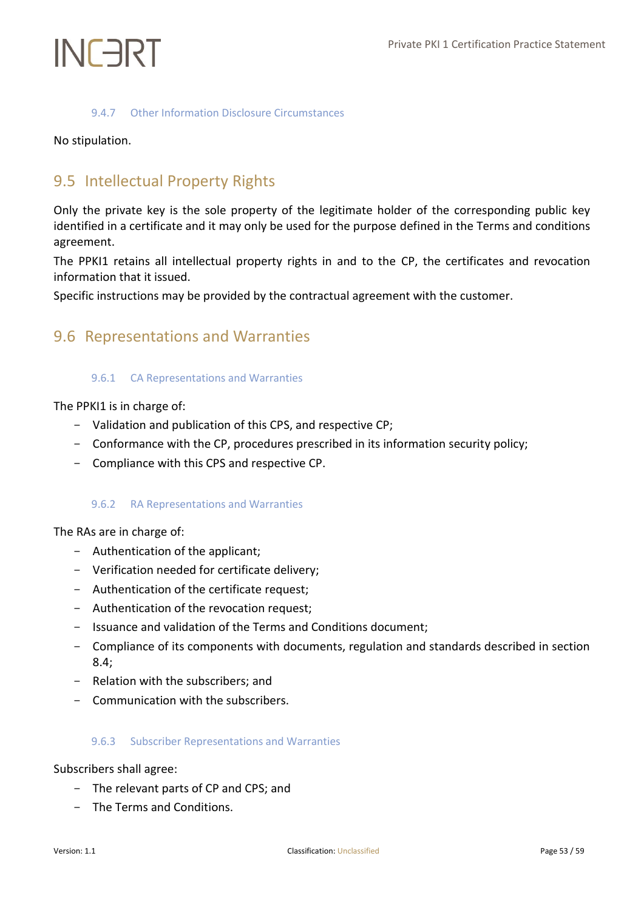## 9.4.7 Other Information Disclosure Circumstances

<span id="page-52-0"></span>No stipulation.

# <span id="page-52-1"></span>9.5 Intellectual Property Rights

Only the private key is the sole property of the legitimate holder of the corresponding public key identified in a certificate and it may only be used for the purpose defined in the Terms and conditions agreement.

The PPKI1 retains all intellectual property rights in and to the CP, the certificates and revocation information that it issued.

<span id="page-52-2"></span>Specific instructions may be provided by the contractual agreement with the customer.

# <span id="page-52-3"></span>9.6 Representations and Warranties

## 9.6.1 CA Representations and Warranties

The PPKI1 is in charge of:

- Validation and publication of this CPS, and respective CP;
- Conformance with the CP, procedures prescribed in its information security policy;
- <span id="page-52-4"></span>- Compliance with this CPS and respective CP.

## 9.6.2 RA Representations and Warranties

The RAs are in charge of:

- Authentication of the applicant;
- Verification needed for certificate delivery;
- Authentication of the certificate request;
- Authentication of the revocation request;
- Issuance and validation of the Terms and Conditions document;
- Compliance of its components with documents, regulation and standards described in section 8.4;
- Relation with the subscribers; and
- <span id="page-52-5"></span>- Communication with the subscribers.

## 9.6.3 Subscriber Representations and Warranties

Subscribers shall agree:

- The relevant parts of CP and CPS; and
- The Terms and Conditions.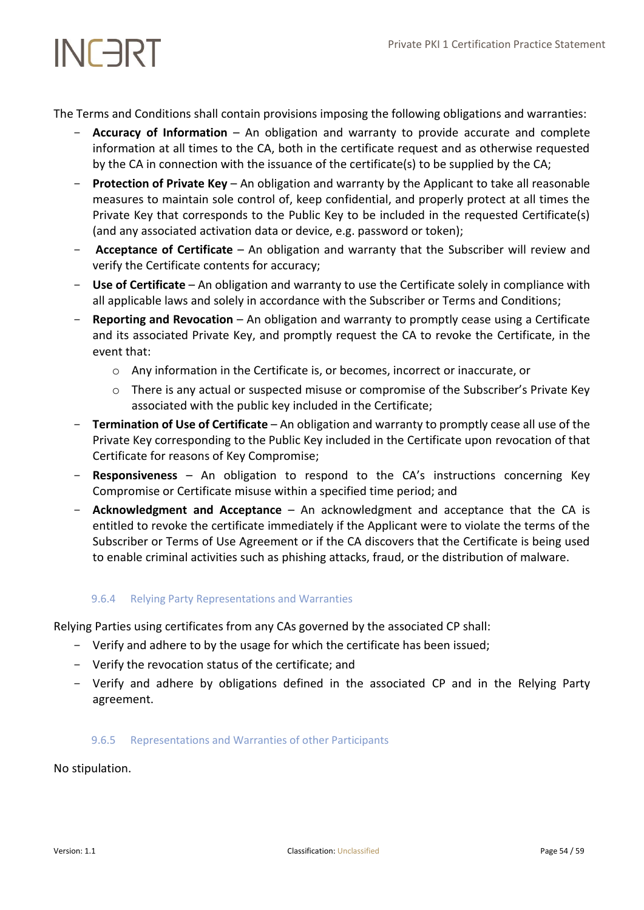The Terms and Conditions shall contain provisions imposing the following obligations and warranties:

- Accuracy of Information An obligation and warranty to provide accurate and complete information at all times to the CA, both in the certificate request and as otherwise requested by the CA in connection with the issuance of the certificate(s) to be supplied by the CA;
- **Protection of Private Key** An obligation and warranty by the Applicant to take all reasonable measures to maintain sole control of, keep confidential, and properly protect at all times the Private Key that corresponds to the Public Key to be included in the requested Certificate(s) (and any associated activation data or device, e.g. password or token);
- **Acceptance of Certificate** An obligation and warranty that the Subscriber will review and verify the Certificate contents for accuracy;
- Use of Certificate An obligation and warranty to use the Certificate solely in compliance with all applicable laws and solely in accordance with the Subscriber or Terms and Conditions;
- **Reporting and Revocation** An obligation and warranty to promptly cease using a Certificate and its associated Private Key, and promptly request the CA to revoke the Certificate, in the event that:
	- o Any information in the Certificate is, or becomes, incorrect or inaccurate, or
	- o There is any actual or suspected misuse or compromise of the Subscriber's Private Key associated with the public key included in the Certificate;
- **Termination of Use of Certificate** An obligation and warranty to promptly cease all use of the Private Key corresponding to the Public Key included in the Certificate upon revocation of that Certificate for reasons of Key Compromise;
- **Responsiveness** An obligation to respond to the CA's instructions concerning Key Compromise or Certificate misuse within a specified time period; and
- **Acknowledgment and Acceptance** An acknowledgment and acceptance that the CA is entitled to revoke the certificate immediately if the Applicant were to violate the terms of the Subscriber or Terms of Use Agreement or if the CA discovers that the Certificate is being used to enable criminal activities such as phishing attacks, fraud, or the distribution of malware.

# <span id="page-53-0"></span>9.6.4 Relying Party Representations and Warranties

Relying Parties using certificates from any CAs governed by the associated CP shall:

- Verify and adhere to by the usage for which the certificate has been issued;
- Verify the revocation status of the certificate; and
- <span id="page-53-1"></span>- Verify and adhere by obligations defined in the associated CP and in the Relying Party agreement.

## 9.6.5 Representations and Warranties of other Participants

No stipulation.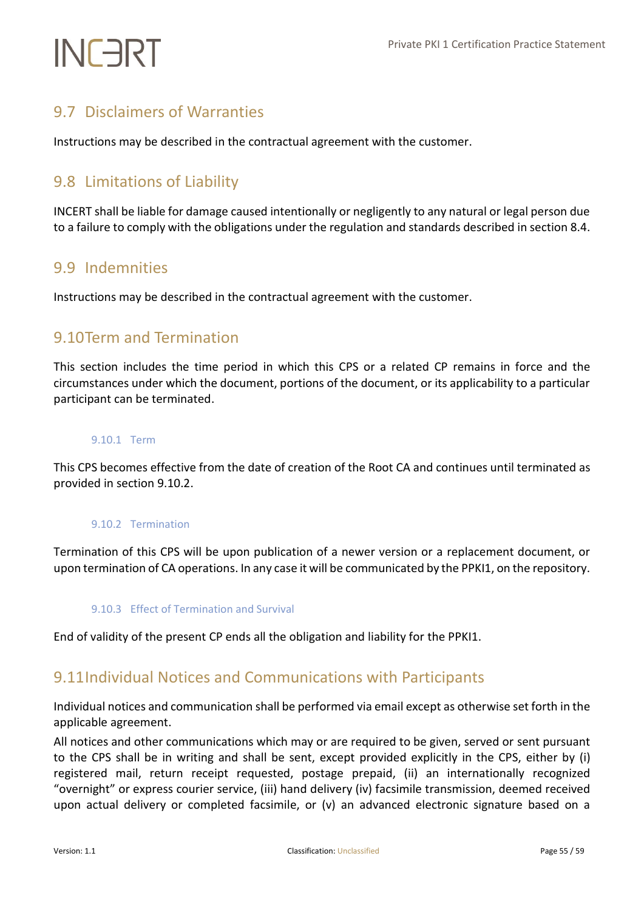# <span id="page-54-0"></span>9.7 Disclaimers of Warranties

Instructions may be described in the contractual agreement with the customer.

# <span id="page-54-1"></span>9.8 Limitations of Liability

INCERT shall be liable for damage caused intentionally or negligently to any natural or legal person due to a failure to comply with the obligations under the regulation and standards described in section 8.4.

# <span id="page-54-2"></span>9.9 Indemnities

<span id="page-54-3"></span>Instructions may be described in the contractual agreement with the customer.

# 9.10Term and Termination

This section includes the time period in which this CPS or a related CP remains in force and the circumstances under which the document, portions of the document, or its applicability to a particular participant can be terminated.

## <span id="page-54-4"></span>9.10.1 Term

<span id="page-54-5"></span>This CPS becomes effective from the date of creation of the Root CA and continues until terminated as provided in section 9.10.2.

## 9.10.2 Termination

<span id="page-54-6"></span>Termination of this CPS will be upon publication of a newer version or a replacement document, or upon termination of CA operations. In any case it will be communicated by the PPKI1, on the repository.

## 9.10.3 Effect of Termination and Survival

<span id="page-54-7"></span>End of validity of the present CP ends all the obligation and liability for the PPKI1.

# 9.11Individual Notices and Communications with Participants

Individual notices and communication shall be performed via email except as otherwise set forth in the applicable agreement.

All notices and other communications which may or are required to be given, served or sent pursuant to the CPS shall be in writing and shall be sent, except provided explicitly in the CPS, either by (i) registered mail, return receipt requested, postage prepaid, (ii) an internationally recognized "overnight" or express courier service, (iii) hand delivery (iv) facsimile transmission, deemed received upon actual delivery or completed facsimile, or (v) an advanced electronic signature based on a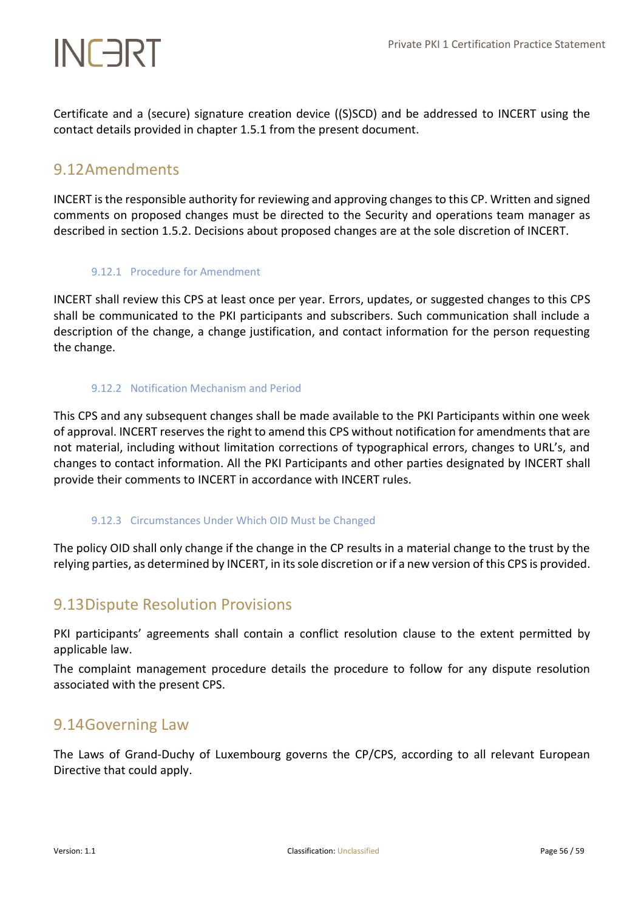Certificate and a (secure) signature creation device ((S)SCD) and be addressed to INCERT using the contact details provided in chapter 1.5.1 from the present document.

# <span id="page-55-0"></span>9.12Amendments

INCERT is the responsible authority for reviewing and approving changes to this CP. Written and signed comments on proposed changes must be directed to the Security and operations team manager as described in section 1.5.2. Decisions about proposed changes are at the sole discretion of INCERT.

# <span id="page-55-1"></span>9.12.1 Procedure for Amendment

INCERT shall review this CPS at least once per year. Errors, updates, or suggested changes to this CPS shall be communicated to the PKI participants and subscribers. Such communication shall include a description of the change, a change justification, and contact information for the person requesting the change.

# <span id="page-55-2"></span>9.12.2 Notification Mechanism and Period

This CPS and any subsequent changes shall be made available to the PKI Participants within one week of approval. INCERT reserves the right to amend this CPS without notification for amendments that are not material, including without limitation corrections of typographical errors, changes to URL's, and changes to contact information. All the PKI Participants and other parties designated by INCERT shall provide their comments to INCERT in accordance with INCERT rules.

# <span id="page-55-3"></span>9.12.3 Circumstances Under Which OID Must be Changed

The policy OID shall only change if the change in the CP results in a material change to the trust by the relying parties, as determined by INCERT, in its sole discretion or if a new version of this CPS is provided.

# <span id="page-55-4"></span>9.13Dispute Resolution Provisions

PKI participants' agreements shall contain a conflict resolution clause to the extent permitted by applicable law.

The complaint management procedure details the procedure to follow for any dispute resolution associated with the present CPS.

# <span id="page-55-5"></span>9.14Governing Law

The Laws of Grand-Duchy of Luxembourg governs the CP/CPS, according to all relevant European Directive that could apply.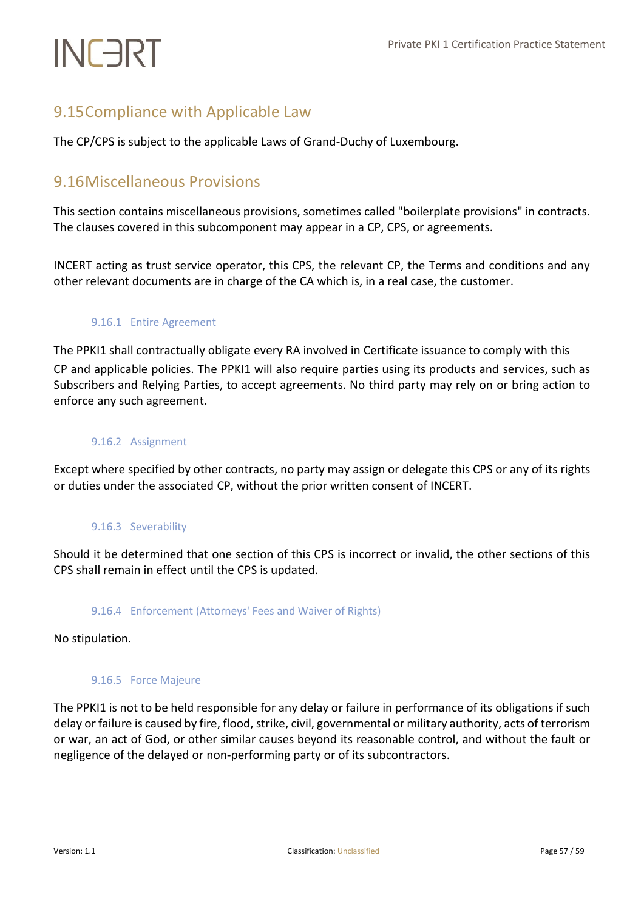# <span id="page-56-0"></span>9.15Compliance with Applicable Law

The CP/CPS is subject to the applicable Laws of Grand-Duchy of Luxembourg.

# <span id="page-56-1"></span>9.16Miscellaneous Provisions

This section contains miscellaneous provisions, sometimes called "boilerplate provisions" in contracts. The clauses covered in this subcomponent may appear in a CP, CPS, or agreements.

<span id="page-56-2"></span>INCERT acting as trust service operator, this CPS, the relevant CP, the Terms and conditions and any other relevant documents are in charge of the CA which is, in a real case, the customer.

# 9.16.1 Entire Agreement

The PPKI1 shall contractually obligate every RA involved in Certificate issuance to comply with this CP and applicable policies. The PPKI1 will also require parties using its products and services, such as Subscribers and Relying Parties, to accept agreements. No third party may rely on or bring action to enforce any such agreement.

# <span id="page-56-3"></span>9.16.2 Assignment

<span id="page-56-4"></span>Except where specified by other contracts, no party may assign or delegate this CPS or any of its rights or duties under the associated CP, without the prior written consent of INCERT.

# 9.16.3 Severability

<span id="page-56-5"></span>Should it be determined that one section of this CPS is incorrect or invalid, the other sections of this CPS shall remain in effect until the CPS is updated.

# 9.16.4 Enforcement (Attorneys' Fees and Waiver of Rights)

<span id="page-56-6"></span>No stipulation.

## 9.16.5 Force Majeure

The PPKI1 is not to be held responsible for any delay or failure in performance of its obligations if such delay or failure is caused by fire, flood, strike, civil, governmental or military authority, acts of terrorism or war, an act of God, or other similar causes beyond its reasonable control, and without the fault or negligence of the delayed or non-performing party or of its subcontractors.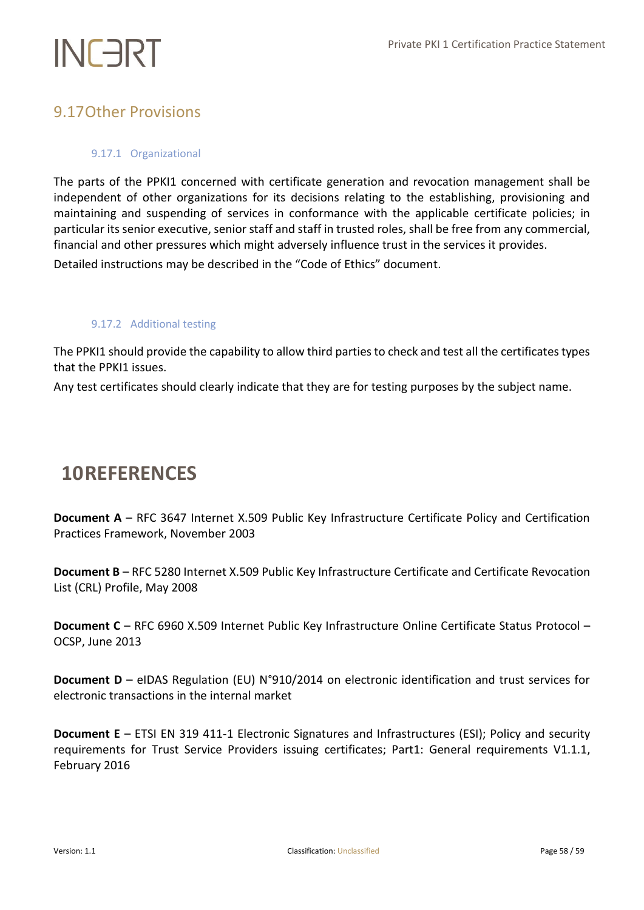# <span id="page-57-1"></span><span id="page-57-0"></span>9.17Other Provisions

# 9.17.1 Organizational

The parts of the PPKI1 concerned with certificate generation and revocation management shall be independent of other organizations for its decisions relating to the establishing, provisioning and maintaining and suspending of services in conformance with the applicable certificate policies; in particular its senior executive, senior staff and staff in trusted roles, shall be free from any commercial, financial and other pressures which might adversely influence trust in the services it provides.

<span id="page-57-2"></span>Detailed instructions may be described in the "Code of Ethics" document.

## 9.17.2 Additional testing

The PPKI1 should provide the capability to allow third parties to check and test all the certificates types that the PPKI1 issues.

Any test certificates should clearly indicate that they are for testing purposes by the subject name.

# <span id="page-57-3"></span>**10REFERENCES**

**Document A** – RFC 3647 Internet X.509 Public Key Infrastructure Certificate Policy and Certification Practices Framework, November 2003

**Document B** – RFC 5280 Internet X.509 Public Key Infrastructure Certificate and Certificate Revocation List (CRL) Profile, May 2008

**Document C** – RFC 6960 X.509 Internet Public Key Infrastructure Online Certificate Status Protocol – OCSP, June 2013

**Document D** – eIDAS Regulation (EU) N°910/2014 on electronic identification and trust services for electronic transactions in the internal market

**Document E** – ETSI EN 319 411-1 Electronic Signatures and Infrastructures (ESI); Policy and security requirements for Trust Service Providers issuing certificates; Part1: General requirements V1.1.1, February 2016